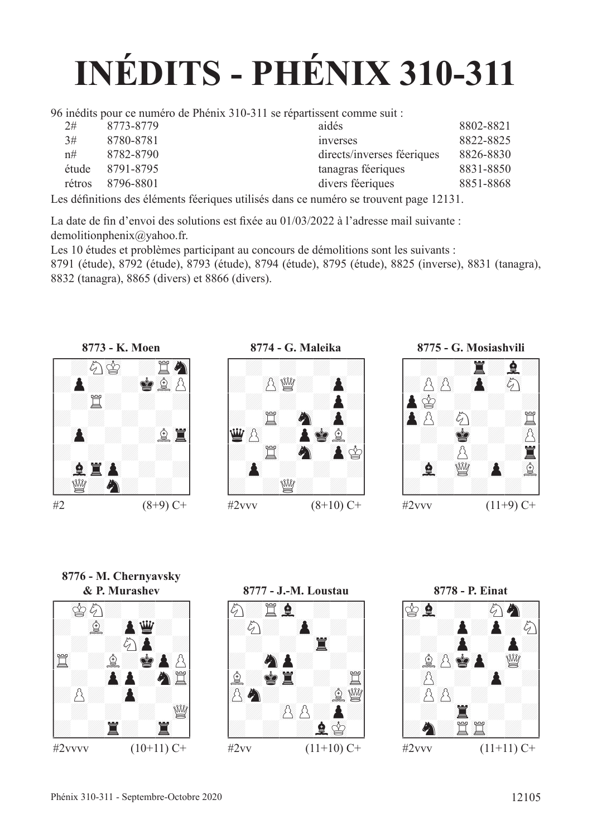# **INÉDITS - PHÉNIX 310-311**

96 inédits pour ce numéro de Phénix 310-311 se répartissent comme suit :

| 2#     | 8773-8779 | aidés                      | 8802-8821 |
|--------|-----------|----------------------------|-----------|
| 3#     | 8780-8781 | inverses                   | 8822-8825 |
| n#     | 8782-8790 | directs/inverses féeriques | 8826-8830 |
| étude  | 8791-8795 | tanagras féeriques         | 8831-8850 |
| rétros | 8796-8801 | divers féeriques           | 8851-8868 |
|        |           |                            |           |

Les défnitions des éléments féeriques utilisés dans ce numéro se trouvent page 12131.

La date de fn d'envoi des solutions est fxée au 01/03/2022 à l'adresse mail suivante : demolitionphenix@yahoo.fr.

Les 10 études et problèmes participant au concours de démolitions sont les suivants :

8791 (étude), 8792 (étude), 8793 (étude), 8794 (étude), 8795 (étude), 8825 (inverse), 8831 (tanagra), 8832 (tanagra), 8865 (divers) et 8866 (divers).







**8776 - M. Chernyavsky**





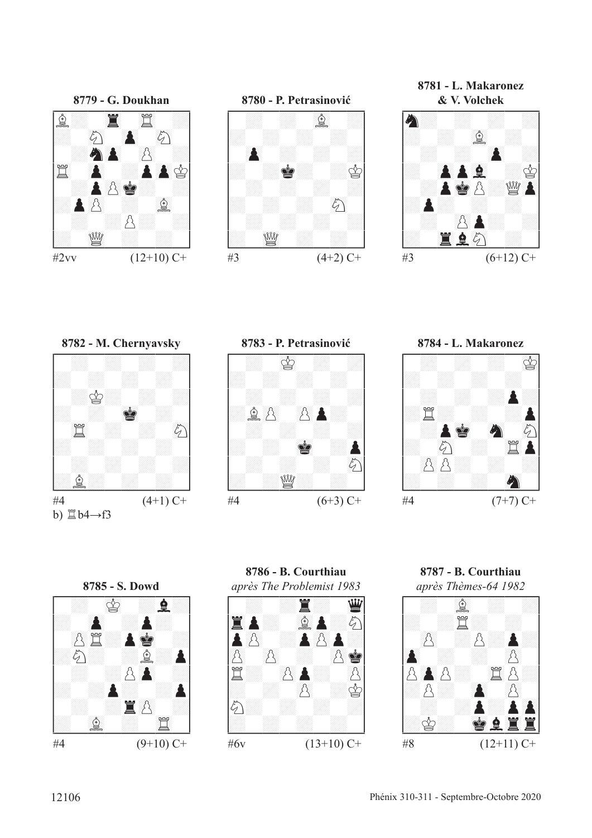



**8781 - L. Makaronez**











**8786 - B. Courthiau** *après The Problemist 1983* !--------! / : :T: 23D/ /45TP: 67fP:c/ /P()p :P()pP:/ /()p ()p : ()pR/ /t: ()pP: ()p/ /: : ()p :r/ /c: : : :/ /: : : : / \$\_\_\_\_\_\_\_\_\$ #6v (13+10) C+

**8787 - B. Courthiau**

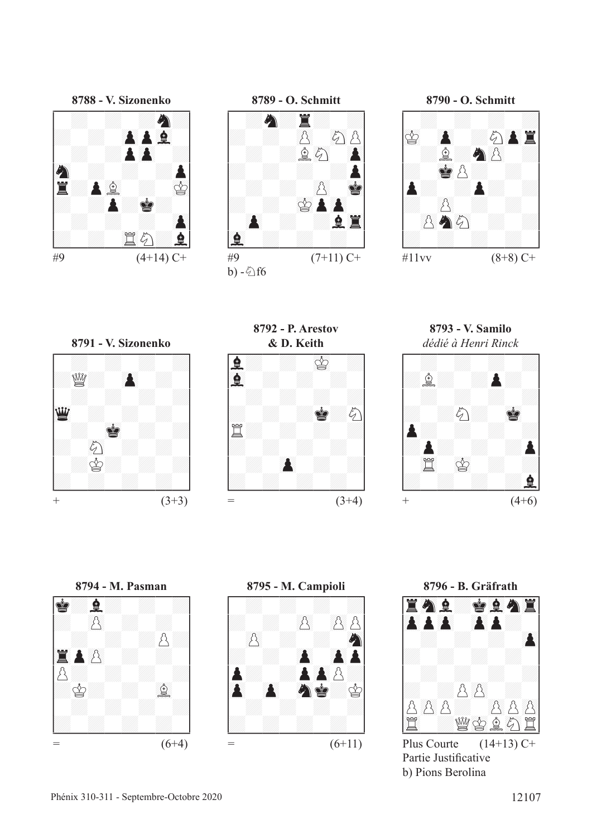







**8792 - P. Arestov**

 $\#9$  (7+11) C+

b)  $-\xi$ f6



**8793 - V. Samilo**





**8795 - M. Campioli**<br> **8795 - M. Campioli**<br> **A MARA & SORIES** 



Partie Justifcative b) Pions Berolina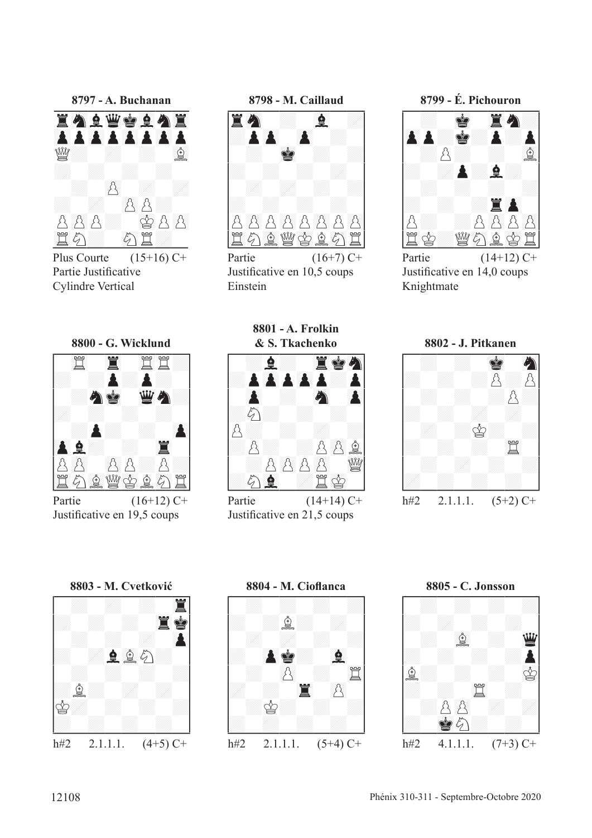8797 - A. Buchanan <u>Wh</u> ☝ B R A A A A \$ A A 買め ぶ 買

Plus Courte  $(15+16)$  C+ Partie Justificative **Cylindre Vertical** 

8800 - G. Wicklund

罝

9

B.

Partie

8798 - M. Caillaud



Partie  $(16+7)$  C+ Justificative en 10,5 coups Einstein

8801 - A. Frolkin



Partie  $(14+14)$  C+ Justificative en 21,5 coups

8799 - É. Pichouron



Partie  $(14+12)$  C+ Justificative en 14,0 coups Knightmate

8802 - J. Pitkanen



8803 - M. Cvetković

R

Justificative en 19,5 coups

 $\lambda$ 鱼幽公鱼

 $\mathcal{L}_{1}$ 

 $(16+12)$  C+



8804 - M. Cioflanca  $\mathbb{Q}$  $\ddot{Q}$  $\mathbf{Q}$ 買 R,  $\mathcal{B}$ 賞  $\, \Delta$  $h#2$  $2.1.1.1.$  $(5+4)$  C+

8805 - C. Jonsson

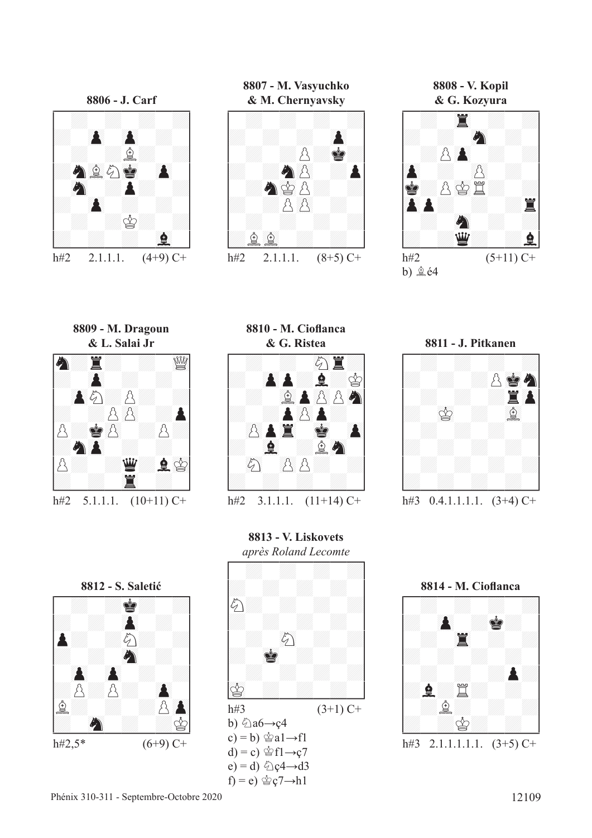

**8807 - M. Vasyuchko**



**8808 - V. Kopil**



**8809 - M. Dragoun**



**8810 - M. Ciofanca**



**8813 - V. Liskovets**







**8814 - M. Ciofanca** !--------! / : : : :/ /: ()P :R: / / : 45T : :/ /: : : : / / : : :P:/ /:F:t: : / / :f: : :/ /: :r: : / \$\_\_\_\_\_\_\_\_\$ h#3 2.1.1.1.1.1. (3+5) C+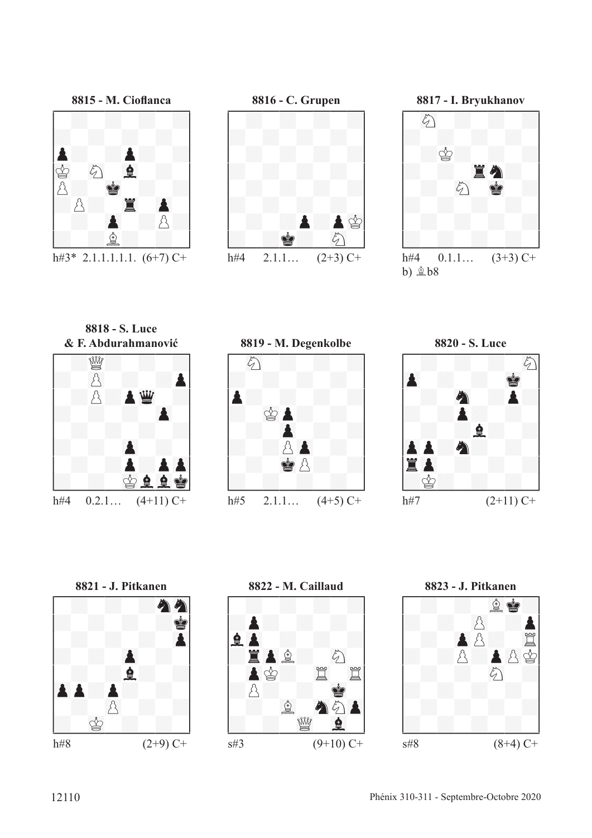

h#3\* 2.1.1.1.1.1.  $(6+7)$  C+





h#4  $0.1.1...$   $(3+3)$  C+  $b)$   $B$  $b8$ 

**8818 - S. Luce**









**8822 - M. Caillaud** !--------! / : : : :/ /:P: : : / /F()P : : :/ /:T()Pf: 89c / / ()Pr: 45t 45t/ /:p: : 01R / / : 67f 89Cc()P/ /: : 23de 67F / \$\_\_\_\_\_\_\_\_\$ s#3 (9+10) C+

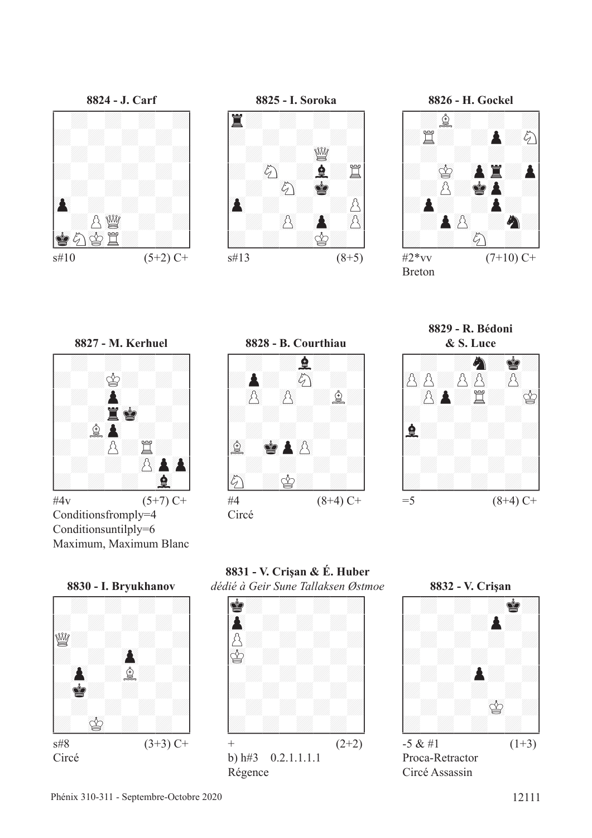





 $s\#10$  (5+2) C+



Conditionsfromply=4 Conditionsuntilply=6 Maximum, Maximum Blanc









Circé

**8831 - V. Crişan & É. Huber**





Proca-Retractor Circé Assassin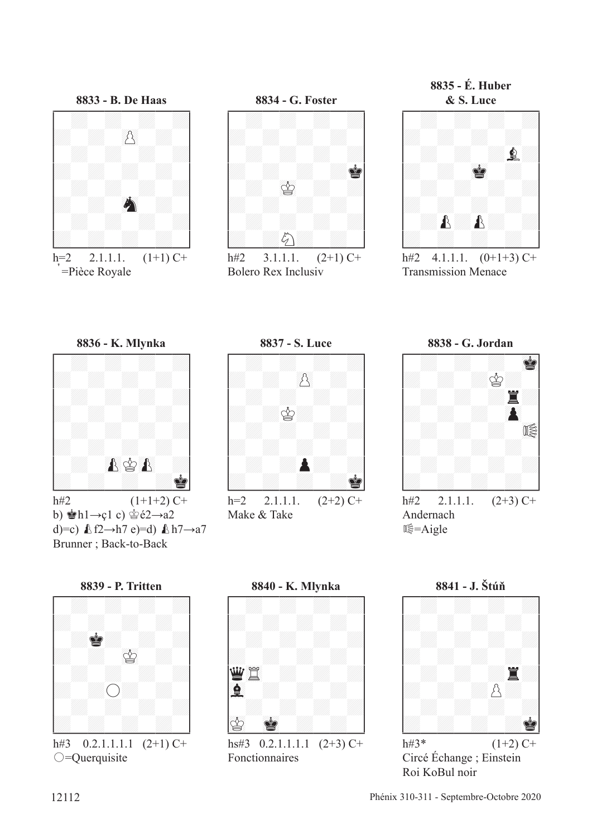

=Pièce Royale





 $h#2$  $3.1.1.1.$  $(2+1)$  C+ **Bolero Rex Inclusiv** 





h#2  $4.1.1.1$ .  $(0+1+3)$  C+ **Transmission Menace** 





b)  $\pm$ hl $\rightarrow$ çl c)  $\pm$ é2 $\rightarrow$ a2 d)=c)  $\pounds$  f2 $\rightarrow$ h7 e)=d)  $\pounds$  h7 $\rightarrow$ a7 Brunner; Back-to-Back

8837 - S. Luce



Make & Take

8838 - G. Jordan





8839 - P. Tritten



 $0.2.1.1.1.1$   $(2+1)$  C+  $h#3$  $\bigcirc$ =Querquisite

8840 - K. Mlynka



Fonctionnaires

8841 - J. Štúň



Circé Échange ; Einstein Roi KoBul noir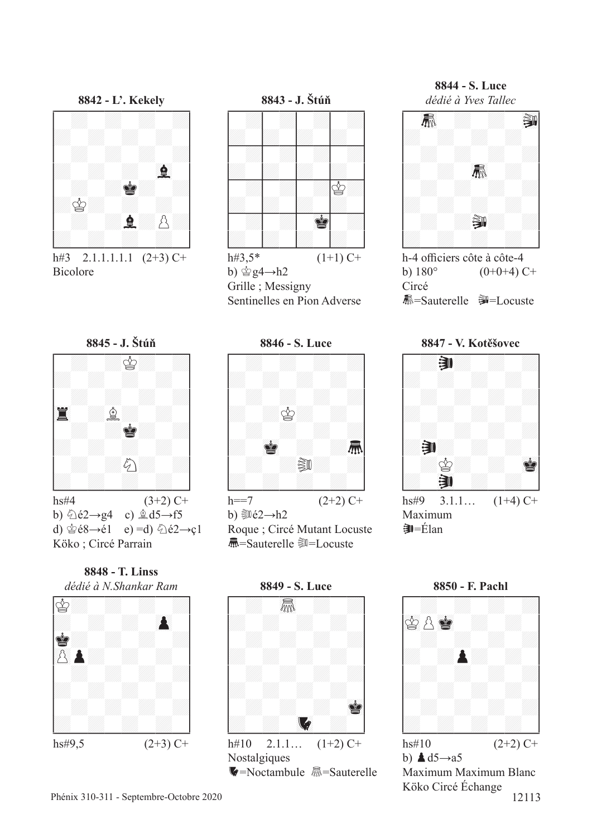

h#3 2.1.1.1.1.1  $(2+3)$  C+ **Bicolore** 





b)  $\&$  é2→g4 c)  $\&$  d5→f5 e) =d)  $\hat{\otimes}$ é2 $\rightarrow$ c1 d)  $\circledS$ é8 $\rightarrow$ é1 Köko; Circé Parrain



 $hs#9,5$ 



 $(2+3)$  C+



b)  $\dot{\mathbb{Q}}$  g4  $\rightarrow$  h2 Grille; Messigny Sentinelles en Pion Adverse

8846 - S. Luce



b)  $\sin 62 - h2$ 

Roque ; Circé Mutant Locuste **氚**=Sauterelle ③=Locuste

8849 - S. Luce 氚  $\sqrt{2}$  $h#10$  $2.1.1...$  $(1+2)$  C+ Nostalgiques

V=Noctambule M=Sauterelle

8844 - S. Luce dédié à Yves Tallec



h-4 officiers côte à côte-4 b)  $180^\circ$  $(0+0+4)$  C+ Circé 赢=Sauterelle - Souste

8847 - V. Kotěšovec



 $\hat{=}$   $Elan$ 

8850 - F. Pachl



b)  $\triangle$  d5 $\rightarrow$ a5 Maximum Maximum Blanc Köko Circé Échange 12113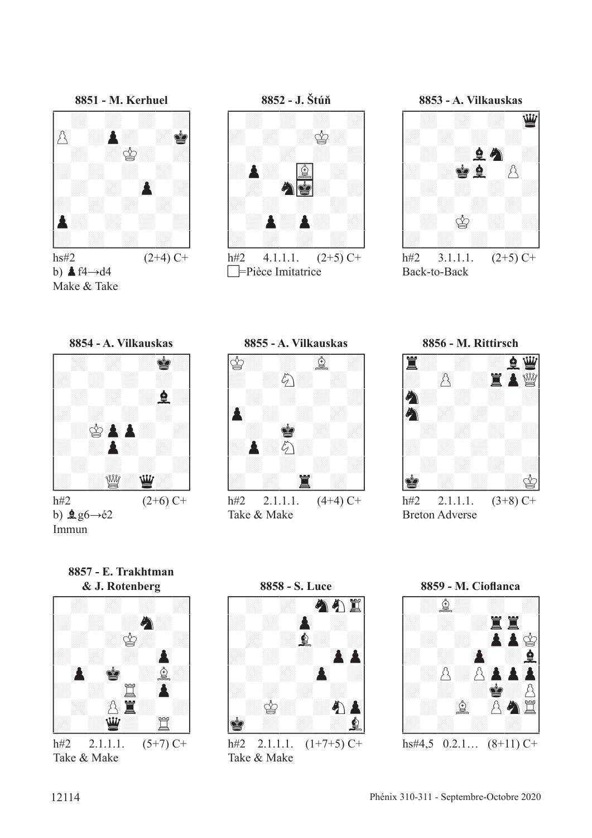

 $hs#2$  $(2+4)$  C+ b)  $\triangle$  f4 $\rightarrow$ d4 Make & Take

8852 - J. Štúň



 $h#2$  $4.1.1.1.$  $(2+5)$  C+  $\Box$ =Pièce Imitatrice

8853 - A. Vilkauskas



 $h#2$  $(2+5)$  C+  $3.1.1.1.$ Back-to-Back









Take & Make

8856 - M. Rittirsch



**Breton Adverse** 

8857 - E. Trakhtman & J. Rotenberg



Take & Make



 $h#2$  $2.1.1.1.$  $(1+7+5)$  C+ Take & Make



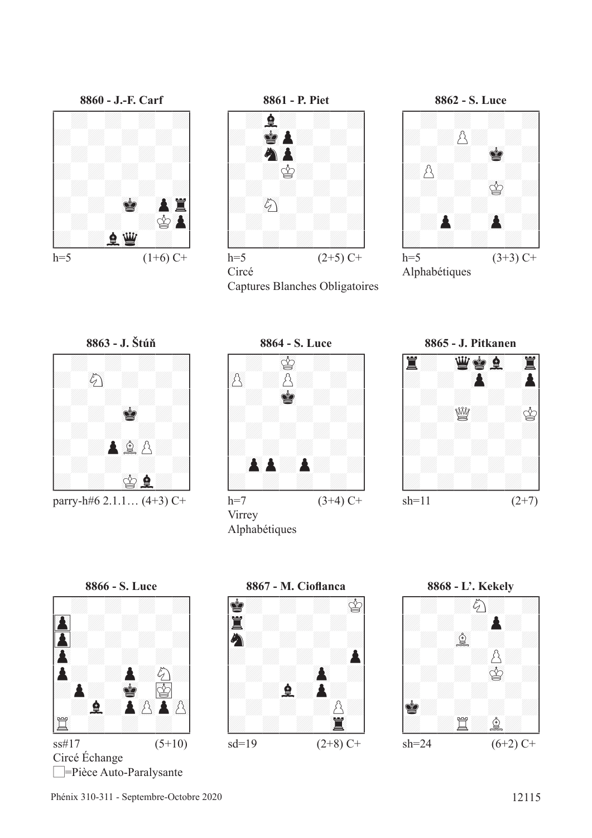=Pièce Auto-Paralysante

**8863 - J. Štúň** !--------! / : : : :/ /: 89c : : / / : : : :/ /: : 01R : / / : : : :/ /: :P67fp: / / : : : :/ /: : 01rF: /

**8866 - S. Luce** !--------! / : : : :/ /#()P : : : / /#P: : : :/ /()P : : : / /P: :P:c:/ /:P: 01R #01r / / :F:P()pP()p/ /45t : : : / \$\_\_\_\_\_\_\_\_\$ ss#17 (5+10)

Circé Échange

parry-h#6 2.1.1...  $(4+3)$  C+



h=7  $(3+4)$  C+



**8861 - P. Piet<br>
A & X**<br> **A & X**<br> *Q*<br> *Q*<br> *Q* 

h=5  $(2+5)$  C+

Captures Blanches Obligatoires

Circé

Virrey

Alphabétiques





Alphabétiques







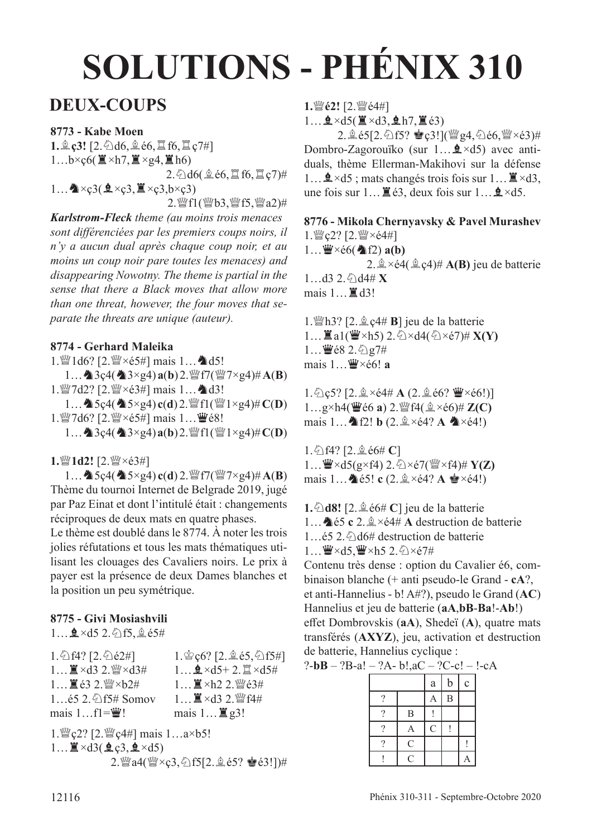## **SOLUTIONS - PHÉNIX 310**

## **DEUX-COUPS**

#### **8773 - Kabe Moen**

**1.** $\hat{\mathbb{Q}}$  **ç3!**  $[2.\hat{\triangle}$ d6, $\hat{\mathbb{Q}}$  é6, $\hat{\mathbb{Z}}$  f6, $\hat{\mathbb{Z}}$  ç7#] 1... $b \times \csc(\mathbf{X} \times h7, \mathbf{X} \times g4, \mathbf{X} h6)$  $2.\textdegreeled{1}$ d6( $\textdegreeled{1}$ é6, $\textdegreeled{1}$ f6, $\textdegreeled{1}$ ç7)#  $1...$   $\triangle \times$ ç3( $\angle \angle \times$ ç3, $\angle$  $\times$ ç3, $b \times$ ç3)

2. 營f1(營b3, 營f5, 營a2)#

*Karlstrom-Fleck theme (au moins trois menaces sont diférenciées par les premiers coups noirs, il n'y a aucun dual après chaque coup noir, et au moins un coup noir pare toutes les menaces) and disappearing Nowotny. The theme is partial in the sense that there a Black moves that allow more than one threat, however, the four moves that separate the threats are unique (auteur).*

#### **8774 - Gerhard Maleika**

1. ad6? [2. @×é5#] mais 1... ^d5!

1...  $\triangleq$ 3ç4( $\triangleq$ 3×g4) **a**(**b**) 2.  $\angle$ f7( $\angle$  $\angle$ 7×g4)# **A**(**B**) 1. WY 7d2? [2. WY ×é3#] mais 1... 4d3!

 $1...$   $\bullet$  5 $c4$ ( $\bullet$  5×g4) **c**(**d**) 2. *W* f1(*W* 1×g4)# **C**(**D**) 1. 27d6? [2. 2×é5#] mais 1... 曹é8!

 $1...$  **a** $3c4$ ( **a** $3\times$ g4) **a**(**b**) 2.  $\mathbb{F}$ f1( $\mathbb{F}$ 1 $\times$ g4)# **C**(**D**)

#### 1. [2. [2. ] **1d2!** [2. ] [2] ×é3#]

1... **A** 5ç4( **A** 5×g4) **c**(**d**) 2. *W* f7( *W* 7×g4)# **A**(**B**) Thème du tournoi Internet de Belgrade 2019, jugé par Paz Einat et dont l'intitulé était : changements réciproques de deux mats en quatre phases.

Le thème est doublé dans le 8774. À noter les trois jolies réfutations et tous les mats thématiques utilisant les clouages des Cavaliers noirs. Le prix à payer est la présence de deux Dames blanches et la position un peu symétrique.

### **8775 - Givi Mosiashvili**

1...  $2 \times d5$  2. 2f5, 2 é5#

| $1.\overline{\bigcirc}$ f4? [2. $\overline{\bigcirc}$ é2#] | $1.\,^{\circ}$ c <sub>6</sub> ? [2. $\&$ e5, $\circ$ f5#]                     |
|------------------------------------------------------------|-------------------------------------------------------------------------------|
| $1$ $\mathbb{Z} \times d3$ 2. $\mathbb{W} \times d3$ #     | $1$ $\mathbf{\underline{Q}} \times d5 + 2.$ $\mathbf{\mathbb{Z}} \times d5$ # |
| 1 ■ é3 2. 暨×b2#                                            | $1$ $\mathbb{I} \times$ h2 2. 營é3#                                            |
| $165$ 2. $\circ$ f5# Somov                                 | 1 ■×d3 2. 暨f4#                                                                |
| mais $1f1=\mathbf{W}!$                                     | mais $1 \dots \mathbb{Z}$ g3!                                                 |
|                                                            |                                                                               |

1.  $\mathbb{W}$  c2? [2.  $\mathbb{W}$  c4#] mais  $1...a \times b5!$  $1...$  $\mathbb{Z} \times d3(\mathbf{\underline{0}}, c3, \mathbf{\underline{0}} \times d5)$ 2.dea4(de×ç3,cf5[2.fé5? Ré3!])# **1.** 彎é2! [2. 彎é4#]

 $1...$   $2 \times d5($   $\cancel{\Xi} \times d3,$   $2 \cancel{h7},$   $\cancel{\Xi} \cdot 63)$ 

 $2.\n$ 鱼é5[2.乞f5? 宫ç3!]( $\frac{w}{2}$ g4,乞é6, $\frac{w}{2} \times 63$ )# Dombro-Zagorouïko (sur 1... $\mathbf{\hat{Q}} \times d5$ ) avec antiduals, thème Ellerman-Makihovi sur la défense 1...  $\mathbf{\hat{Q}} \times d5$ ; mats changés trois fois sur 1...  $\mathbf{\hat{Z}} \times d3$ , une fois sur  $1... \mathbb{Z}$  é3, deux fois sur  $1... \mathbb{Q} \times d5$ .

**8776 - Mikola Chernyavsky & Pavel Murashev** 1. WY c2? [2. WY ×é4#]  $1...$  $\mathbf{W} \times 66$ ( $\mathbf{\triangle}$ f2)  $\mathbf{a}(\mathbf{b})$ 2.  $\hat{\mathbb{Q}} \times \acute{\epsilon}4(\hat{\mathbb{Q}} \cdot \csc 4)$ # **A(B)** jeu de batterie  $1...d3$   $2.\odot$   $d4\# X$ mais  $1...$  $\mathbb{Z}$ d3!

1. h3? [2. g c<sub>4</sub># **B**] jeu de la batterie  $1...$  $\mathbb{Z}$ a1( $\mathbb{Z} \times h$ 5) 2. $\Diamond \times d$ 4( $\Diamond \times e$ 7)# **X(Y)**  $1...$  $682.$   $2.5$   $g7#$ mais 1... **W**×é6! a

 $1.\textdegreeled{}2.2 \pm \textdegreeled{\times}64 \# \text{A} (2.\textdegreeled{}66? \text{W} \times 66!)$  $1...g\times h4$ ( $\ddot{w}$ é6 **a**)  $2.\ddot{w}$ f4( $\hat{a}\times\acute{e}6$ )# **Z(C)** mais 1...  $\triangle$  f2! **b** (2. $\triangle$  ×é4? **A**  $\triangle$  ×é4!)

1. ①f4? [2. **g** é6# **C**]  $1...$  $\mathbf{\ddot{W}} \times d5(\mathbf{g} \times f4)$  2.  $\Diamond$   $\times$   $\Diamond$ 7( $\mathbf{\ddot{W}} \times f4$ )#  $\mathbf{Y}(\mathbf{Z})$ mais  $1...$   $\bullet$  é5! **c** (2. $\stackrel{\triangle}{\cong}$  ×é4? **A**  $\stackrel{\triangle}{\bullet}$  ×é4!)

**1.** $\triangle$ **d8!** [2. $\triangleq$  é6# **C**] jeu de la batterie 1...  $\triangle$  é5 **c** 2.  $\triangle$  ×é4# **A** destruction de batterie  $1...$ é5 2. $\hat{\phi}$ d6# destruction de batterie  $1...$  $\mathbf{W} \times d5$ ,  $\mathbf{W} \times h5$  2. $\Diamond$   $\times$   $\Diamond$ 7#

Contenu très dense : option du Cavalier é6, combinaison blanche (+ anti pseudo-le Grand - **cA**?, et anti-Hannelius - b! A#?), pseudo le Grand (**AC**) Hannelius et jeu de batterie (**aA**,**bB**-**Ba**!-**Ab**!) effet Dombrovskis (aA), Shedeï (A), quatre mats transférés (**AXYZ**), jeu, activation et destruction de batterie, Hannelius cyclique :

?-**bB** – ?B-a! – ?A- b!,aC – ?C-c! – !-cA

|          |                  | a              | $\mathbf b$    | $\mathbf{C}$ |
|----------|------------------|----------------|----------------|--------------|
| ?        |                  | А              | $\overline{B}$ |              |
| ?        | $\boldsymbol{B}$ |                |                |              |
| ?        | А                | $\overline{C}$ |                |              |
| $\Omega$ | $\overline{C}$   |                |                |              |
|          | $\overline{C}$   |                |                |              |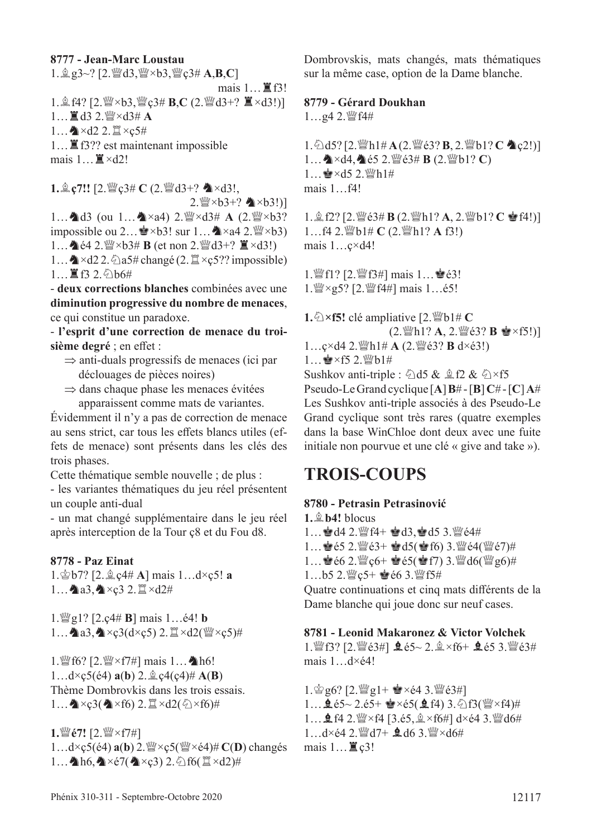#### **8777 - Jean-Marc Loustau**

1.fg3~? [2.ded3,de×b3,deç3# **A**,**B**,**C**] mais  $1...$   $\mathbb{E}[5!]$ 1.**愈f4?** [2. $\mathbb{W} \times b3$ , $\mathbb{W} \in \mathbb{R}$ **B,C** (2. $\mathbb{W} \times d3+$ ?  $\mathbb{Z} \times d3!)$ ]  $1...$  $\mathbb{Z}$ d3 2. $\mathbb{W} \times d3 \# A$  $1...$   $\triangle$  ×d2 2.  $\mathbb{I}$  ×c5# 1... ■ f3?? est maintenant impossible mais  $1 \dots \mathbb{Z} \times d2!$ 

**1.**  $\hat{\mathbb{Q}}$  **ç7!!** [2. $\hat{\mathbb{W}}$ ç3# **C** (2. $\hat{\mathbb{W}}$ d3+?  $\hat{\mathbb{Q}}$  ×d3!,

 $2.\frac{100}{2} \times b3+?$   $\clubsuit \times b3!)$ 1... 1d3 (ou 1...  $\triangle x$ a4) 2.  $\frac{300}{4} \times d3 \# A$  (2.  $\frac{300}{4} \times b3$ ? impossible ou  $2... \cong \times b3!$  sur  $1... \cong \times a4 \times 2 \times \times b3$ ) 1...  $\triangleq$  é4 2.  $\mathbb{W} \times 63 \# B$  (et non 2.  $\mathbb{W} d3 + ? \equiv \times d3!$ ) 1...  $\triangle \times d22$ .  $\triangle a5\# change$  (2.  $\cong \times c5$ ?? impossible)

 $1...$   $R$  f3 2.  $%$  b6#

- **deux corrections blanches** combinées avec une **diminution progressive du nombre de menaces**, ce qui constitue un paradoxe.

- **l'esprit d'une correction de menace du troi**sième degré ; en effet :

- ⇒ anti-duals progressifs de menaces (ici par déclouages de pièces noires)
- ⇒ dans chaque phase les menaces évitées apparaissent comme mats de variantes.

Évidemment il n'y a pas de correction de menace au sens strict, car tous les effets blancs utiles (effets de menace) sont présents dans les clés des trois phases.

Cette thématique semble nouvelle ; de plus :

- les variantes thématiques du jeu réel présentent un couple anti-dual

- un mat changé supplémentaire dans le jeu réel après interception de la Tour ç8 et du Fou d8.

#### **8778 - Paz Einat**

1.rb7? [2.fç4# **A**] mais 1…d×ç5! **a** 1... 2a3, X<3 2. I ×d2#

 $1.$ *leg*<sub>2</sub> $1$ ? [2.c<sub>4</sub># **B**] mais  $1...$ é4! **b** 1... **4** a3,  $\triangle \times$ ç3(d×ç5) 2.  $\mathbb{Z} \times$ d2( $\mathbb{W} \times$ ç5)#

1. fo? [2. $\mathbb{W} \times f$ 7#] mais 1... Ah6!  $1...d \times c \cdot 5$ (é4)  $a(b)$  2.  $\&z \cdot 4$ (c4)#  $A(B)$ Thème Dombrovkis dans les trois essais.  $1...$   $\triangle \times$ ç3( $\triangle \times$ f6) 2.  $\cong \times$ d2( $\oslash \times$ f6)#

**1.** *i* é7! [2. *i* × f7#]  $1...d \times \mathfrak{c}5(4)$  **a**(**b**)  $2.\mathcal{W} \times \mathfrak{c}5(\mathcal{W} \times 64) \# C(\mathbf{D})$  changés 1...  $h6, \Delta \times 57$ ( $\Delta \times 53$ ) 2.  $f6(1 \times d2)$ #

Dombrovskis, mats changés, mats thématiques sur la même case, option de la Dame blanche.

#### **8779 - Gérard Doukhan**

 $1...$ g4 2. $M$ f4#

1. ①d5? [2.瞥h1#A(2. @e3? **B**, 2. |pb1? **C** ▲ c2!)]  $1...$   $\triangle$  ×d4,  $\triangle$  é5 2.  $\degree$  é3# **B** (2.  $\degree$  b1? **C**)  $1...$  $A \times d5$  2.  $Mh1#$ mais 1…f4!

1. **鱼f2?** [2. 鳖é3# **B** (2. 鳖h1? **A**, 2. 鳖b1? **C** 會f4!)] 1…f4 2. *s*<sup>6</sup>b1# **C** (2.  $\mathbb{W}$ h1? **A** f3!) mais 1…ç×d4!

1. ||f1? [2. ||f3#] mais 1... · ||e3! 1. (2. g5? [2. ) [4#] mais 1... é5!

**1.** $\triangle$  ×**f5!** clé ampliative [2. $\triangle$ bl# **C** (2. \cdot N a, 2. \cdot N e \text{ \f 5!)]  $1...$ ç×d4 2. $\mathbb{W}h1\# A$  (2. $\mathbb{W}e3$ ? **B** d×é3!)  $1...$ e $\times$ f5 2. $^{w}\text{bl}$ # Sushkov anti-triple :  $\triangle$ d5 &  $\triangle$ f2 &  $\triangle$ ×f5 Pseudo-Le Grand cyclique [**A**] **B**# - [**B**] **C**# - [**C**] **A**# Les Sushkov anti-triple associés à des Pseudo-Le Grand cyclique sont très rares (quatre exemples dans la base WinChloe dont deux avec une fuite initiale non pourvue et une clé « give and take »).

## **TROIS-COUPS**

#### **8780 - Petrasin Petrasinović**

 $1.$  $\oplus$   $b4!$  blocus 1... **@d4 2.** 2f4+ @d3, @d5 3. 264# 1… $\bullet$ é5 2. $\mathbb{W}$ é3+  $\bullet$ d5( $\bullet$ f6) 3. $\mathbb{W}$ é4( $\mathbb{W}$ é7)# 1… $\bullet$ é6 2. $\mathbb{Z}$ c6+  $\bullet$ é5( $\bullet$ f7) 3. $\mathbb{Z}$ d6( $\mathbb{Z}$ g6)# 1…b5 2. $\mathbb{W}$ c5+  $\mathbb{Q}$ é6 3. $\mathbb{W}$ f5#

Quatre continuations et cinq mats diférents de la Dame blanche qui joue donc sur neuf cases.

#### **8781 - Leonid Makaronez & Victor Volchek**

1.  $\mathbb{E}[3? [2. \mathbb{E}[63#] \triangleq 65 \sim 2. \mathbb{E} \times 66 + \triangleq 65.3$ .  $\mathbb{E}[63#]$ mais 1…d×é4!

1. $\circ$ g6? [2. $\circ$ g1+  $\bullet$ ×é4 3. $\circ$ gé3#]  $1...$   $2.65 2.65+$   $\bullet$   $\times 65($   $2.64)$   $3.$   $\odot$   $63($   $\%$   $\times$   $64)$   $\#$ 1...  $\mathbf{\hat{Q}}$  f4 2.  $\mathbf{W} \times$  f4 [3.é5,  $\mathbf{\hat{Q}} \times$  f6#] d $\times$ é4 3.  $\mathbf{W}$ d6# 1…d×é4 2. 彎d7+ 鱼d6 3. 彎×d6# mais  $1 \dots \mathbb{E}$   $c3!$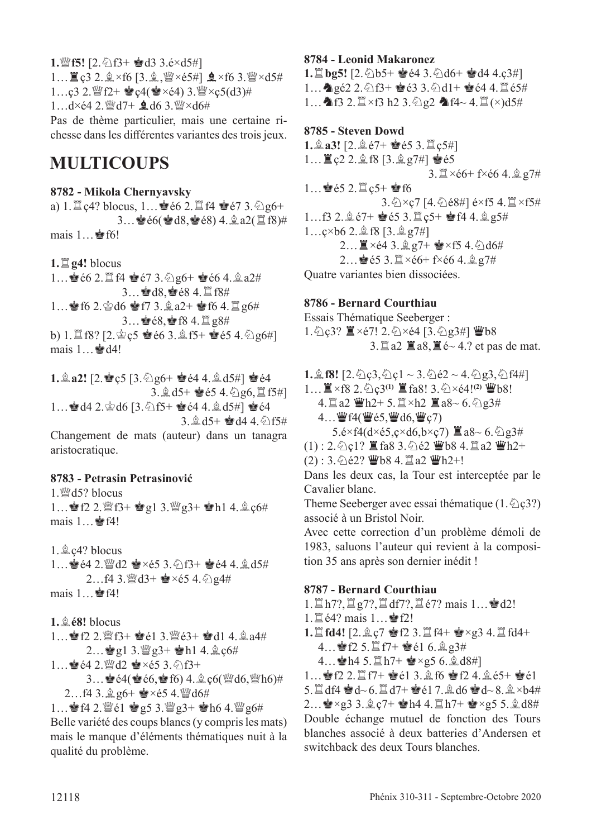**1.***w*<sup>*f*5!</sup> [2. ⊘ f3+  $\bullet$  d3 3.é×d5#]  $1...$  $\mathbb{Z}$   $c3$   $2.\hat{2} \times$  f6  $[3.\hat{2}$ ,  $\mathbb{W} \times 65#$   $\mathbb{Q} \times$  f6  $3.\mathbb{W} \times d5#$ 1…ç3 2. $\mathbb{Q}$ f2+  $\mathbb{Q}$ ç4( $\mathbb{Q} \times \in 4$ ) 3. $\mathbb{Q} \times \in 5(d3)$ #  $1...$ d×é4 2. $^{\omega}$ d7+  $\bullet$  d6 3. $^{\omega}$ ×d6# Pas de thème particulier, mais une certaine ri-

chesse dans les diférentes variantes des trois jeux.

## **MULTICOUPS**

#### **8782 - Mikola Chernyavsky**

a)  $1. \mathbb{Z}$  c4? blocus,  $1...$  $66$   $2. \mathbb{Z}$  f4  $6$   $67$   $3.$   $\Diamond$   $96+$  $3...$ e $66$ (ed $8,$ e $68)$  4. $\stackrel{6}{\cancel{(}}$ a2( $\stackrel{6}{\cancel{(}}$ f $8)$ # mais  $1...$ **s** f6!

 $1.\n\mathbb{Z}$  **g4!** blocus

 $1...$ @  $66$  2.  $16$  Ref 2.  $67$  3.  $9$  g6+ @  $66$  4.  $2$  a2# 3... ad8, e é 8 4. I f8# 1... § f6 2. § d6 § f7 3. â a 2+ § f6 4.  $\mathbb{Z}$  g6# 3... **曾é8, 曾f8 4.** 買g8# b) 1. $\mathbb{E}$ f8? [2. $\mathscr{E}$ ç5  $\mathscr{E}$ é6 3. $\mathscr{E}$ f5+  $\mathscr{E}$ é5 4. $\mathscr{E}$ g6#] mais  $1 \dots \triangleq d4!$ 

**1.** $\hat{\mathbb{E}}$ **a2!**  $[2.$  $\hat{\mathbb{E}}$  c5  $[3. \hat{\triangle}$  g6+  $\hat{\mathbb{E}}$  é4 4. $\hat{\mathbb{E}}$  d5#]  $\hat{\mathbb{E}}$  é4 3. gd5+ 會é5 4. 2g6, 罝f5#] 1... ad4 2. ad6 [3. 2f5+ Ree4 4. ad5#] Ree4  $3.\n$  $d5+$   $d4.4.\n$  $f5#$ Changement de mats (auteur) dans un tanagra aristocratique.

#### **8783 - Petrasin Petrasinović**

1. $\mathcal{W}$ d5? blocus 1... §f2 2. @f3+ · g1 3. @g3+ · h1 4. gc6# mais 1... *₹*f4!

 $1.\n$ gc4? blocus 1... @ é4 2. @ d2 @ xé5 3. @ f3+ @ é4 4. @ d5# 2...f4 3. $\mathbb{Q}$ d3+  $\mathbb{Q} \times 65$  4. $\mathbb{Q}$ g4# mais  $1 \dots \cong 64!$ 

**1.**f**é8!** blocus 1... §f2 2. @f3+ §é1 3. @e3+ §d1 4. ga4#  $2...$ gl 3. $\mathbb{W}$ g3+ gh1 4. $\&$ c6# 1... · é 4 2. sd d2 · × é5 3. 2f3+  $3...$ e é $4$ (e é $6,$ e f $6)$  4.  $2$  ç $6$ ( $4$ d $6,$  $4$ h $6)$ #  $2...$ f4 3.  $2$  g6+  $\bullet$  ×é5 4.  $\mathbb{W}$ d6# 1... **14 2.**  $\mathbb{F}_2$  eqs 3.  $\mathbb{F}_2$  g<sub>3</sub>+ **e**h6 4.  $\mathbb{F}_2$  g6# Belle variété des coups blancs (y compris les mats)

mais le manque d'éléments thématiques nuit à la qualité du problème.

#### **8784 - Leonid Makaronez**

**1.** $\mathbb{E}$  **bg5!** [2. 2b5+  $\mathbb{\hat{E}}$  é4 3. 2d6+  $\mathbb{\hat{E}}$  d4 4.ç3#] 1... Agé2 2. 公f3+ 营é3 3. 公d1+ 营é4 4. 置é5# 1...  $\bigcirc$  f3 2. $\mathbb{Z} \times$ f3 h2 3. $\bigcirc$  g2  $\bigcirc$  f4~ 4. $\mathbb{Z}$ ( $\times$ )d5#

**8785 - Steven Dowd 1.** $\hat{a}$ **a3!** [2. $\hat{a}$  é7+  $\hat{e}$  é5 3. $\hat{\Xi}$  c5#]  $1...$   $22.2.2$  f8 [3. $2$  g7#]  $\ge 65$  $3.\n\mathbb{Z} \times 66 + f \times 664.\n\mathbb{Q} \times 7\#$ 1… $\bullet$ é5 2. $\Xi$ ç5+  $\bullet$ f6 3. 2×c7 [4. 268#] é×f5 4. <sup>[2</sup> ×f5#  $1...f3$  2. $\hat{g}67+$   $\hat{g}65$  3. $\hat{g}65+$   $\hat{g}64$  4. $\hat{g}65$ #  $1...$ ç×b $6$  2. $\hat{\mathbb{Q}}$ f8 [3. $\hat{\mathbb{Q}}$  g7#] 2... ■×é4 3. 鱼g7+ ●×f5 4. 公d6# 2...  $\bullet$  é5 3.  $\mathbb{Z} \times 66 +$  f $\times 66$  4.  $\mathbb{Q}$  g7# Quatre variantes bien dissociées.

#### **8786 - Bernard Courthiau**

Essais Thématique Seeberger : 1.  $\hat{Q}$  c 3?  $\hat{Z} \times 67! 2. \hat{Q} \times 64 [3. \hat{Q}$  g 3#]  $\hat{Z}$  b 8  $3.\n\mathbb{Z}$  a2  $\mathbb{Z}$  a8,  $\mathbb{Z}$  é ~ 4.? et pas de mat.

**1.**  $\hat{\mathbb{E}}$  **f8!**  $[2.\hat{\triangle}$   $\hat{\mathbb{C}}$ 3,  $\hat{\triangle}$   $\hat{\mathbb{C}}$  |  $\sim$  3.  $\hat{\triangle}$   $\hat{\mathbb{C}}$  2  $\sim$  4.  $\hat{\triangle}$   $\hat{\mathbb{C}}$ 3,  $\hat{\triangle}$   $f4\#$ ]

1… I ×f8 2. ①c<sup>3(1)</sup> I fa8! 3. ②×é4!<sup>(2)</sup> 曹b8! 4.  $\angle$  a2  $\angle$  h2+ 5.  $\angle$  ×h2  $\angle$  a8~ 6.  $\angle$  g3#  $4...$   $\mathbf{W}$  f4( $\mathbf{W}$ é5, $\mathbf{W}$ d6, $\mathbf{W}$ ç7)  $5.\text{é} \times$ f4(d $\times$ é $5.\text{c} \times$ d $6.\text{b} \times$ c $7$ )  $\mathbb{Z}$ a8 $\sim$  6. $\frac{6}{2}$ g3#

- $(1)$ : 2. $\bigcirc$ c $1$ ?  $\mathbb{I}$  fa8 3. $\bigcirc$ e2  $\mathbb{I}$ b8 4. $\mathbb{I}$ a2  $\mathbb{I}$ b $2$ +
- $(2) : 3.\overline{2}$ é2?  $\ddot{\mathbf{\Psi}}$ b8 4. $\ddot{\mathbf{\Xi}}$ a2  $\ddot{\mathbf{\Psi}}$ h2+!

Dans les deux cas, la Tour est interceptée par le Cavalier blanc.

Theme Seeberger avec essai thématique  $(1.\hat{\triangle} \zeta_3?)$ associé à un Bristol Noir.

Avec cette correction d'un problème démoli de 1983, saluons l'auteur qui revient à la composition 35 ans après son dernier inédit !

### **8787 - Bernard Courthiau**

- $1.\Xi$  h7?,  $\Xi$  g7?,  $\Xi$  df7?,  $\Xi$  é7? mais  $1...\Leftrightarrow$  d2!
- $1.\nsubseteq$ é4? mais  $1...\nsubseteq$ f2!

1. 當 fd4! [2.  $\angle$  ç7 會 f2 3. 當 f4+ 會×g3 4. 當 fd4+

- 4... **8**  $f2$  5.  $\ddot{\Xi}$   $f7 +$  **8**  $e1$  6.  $\dot{\Xi}$   $g3\ddot{t}$
- $4...$  Ah4 5.  $\ln 7 +$  Re  $\times$  g5 6.  $\ln 48$ #]

 $1...$   $1$   $2.1$   $7 +$   $2e1$  3.2 f6  $2f2$  4.2  $e5+$   $2e1$ 5. $\mathbb{Z}$  df4  $\mathbf{d}$ d~ 6. $\mathbb{Z}$ d7+ $\mathbf{d}$ é1 7. $\mathbb{Q}$  d6  $\mathbf{d}$ d~ 8. $\mathbb{Q}$ ×b4# 2...  $\mathbf{r} \times \mathbf{g}$ 3. $\mathbf{r}$ , $\mathbf{c}$ 7+  $\mathbf{r}$ h4 4. $\mathbf{r}$ h7+  $\mathbf{r} \times \mathbf{g}$ 55. $\mathbf{r}$ , $\mathbf{d}8$ # Double échange mutuel de fonction des Tours blanches associé à deux batteries d'Andersen et switchback des deux Tours blanches.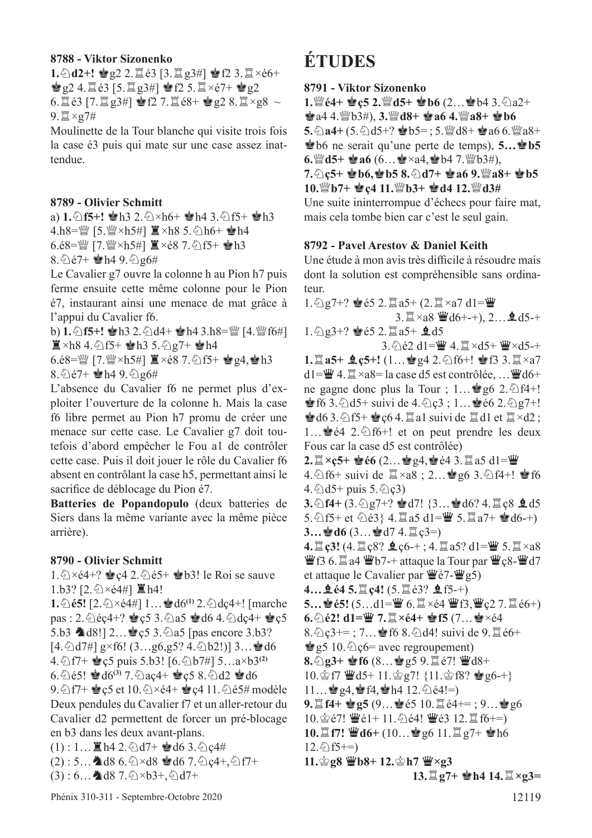#### **8788 - Viktor Sizonenko**

**1.** ①d2+! 會g2 2.  $\angle$ 1é3 [3.  $\angle$ 1g3#] 會f2 3.  $\angle$ ×é6+  $\mathbf{Q}$ 2 4. $\mathbf{Q}$  é3 [5. $\mathbf{Q}$  g3#]  $\mathbf{Q}$  f2 5. $\mathbf{Q} \times 67 + \mathbf{Q}$  g2 6.  $\mathbb{E}$  é3 [7.  $\mathbb{E}$  g3#]  $\mathbb{E}$  f2 7.  $\mathbb{E}$  é8+  $\mathbb{E}$  g2 8.  $\mathbb{E} \times$ g8  $\sim$  $9.$  $\mathbb{Z} \times 27#$ 

Moulinette de la Tour blanche qui visite trois fois la case é3 puis qui mate sur une case assez inattendue.

#### **8789 - Olivier Schmitt**

a) 1.  $\circ$ f5+!  $\bullet$ h3 2.  $\circ$  ×h6+  $\bullet$ h4 3.  $\circ$ f5+  $\bullet$ h3 4.h8= $\mathbb{W}$  [5. $\mathbb{W} \times h$ 5#]  $\mathbb{E} \times h$ 8 5.  $\Diamond h$ 6+  $\mathbb{P}h$ 4  $6.68 =$ 營 [7.營×h5#]  $\Xi \times 68$  7.  $\bigcirc$  f5+  $\bullet$ h3 8. $\frac{2}{5}e7+$   $\frac{1}{2}h4$  9. $\frac{2}{9}g6\#$ 

Le Cavalier g7 ouvre la colonne h au Pion h7 puis ferme ensuite cette même colonne pour le Pion é7, instaurant ainsi une menace de mat grâce à l'appui du Cavalier f6.

b) **1.** ②**f5+!** ●h3 2. ②d4+ ●h4 3.h8= $\mathbb{Q}$  [4.  $\mathbb{Q}$  f6#]  $\Xi \times h8$  4.  $\bigcirc$  f5+  $\bigcirc$  h3 5.  $\bigcirc$  g7+  $\bigcirc$  h4

 $6.\dot{e}8 = \frac{300}{4}$  [7. $\frac{300}{4} \times h5 \#$ ]  $\Xi \times \dot{e}8$  7. $\odot$  f5+  $\dot{e}$  g4, $\dot{e}$  h3 8. $\hat{Q}$ é7+  $\hat{Q}$ h4 9. $\hat{Q}$ g6#

L'absence du Cavalier f6 ne permet plus d'exploiter l'ouverture de la colonne h. Mais la case f6 libre permet au Pion h7 promu de créer une menace sur cette case. Le Cavalier g7 doit toutefois d'abord empêcher le Fou a1 de contrôler cette case. Puis il doit jouer le rôle du Cavalier f6 absent en contrôlant la case h5, permettant ainsi le sacrifice de déblocage du Pion é7.

**Batteries de Popandopulo** (deux batteries de Siers dans la même variante avec la même pièce arrière).

#### **8790 - Olivier Schmitt**

1. $\angle 1.$   $\angle 2 \times 64 + ?$   $\angle 2.$   $\angle 65 + \angle 63!$  le Roi se sauve 1.b3? [2.  $\Diamond \times 64\#$ ]  $\Xi$  h4!

**1.** ② **é5!**  $[2.\&\times 64\&\times 1]$  1… and  $[60^\circ 2.\&\times 4e^{4+1}]$  [marche pas : 2.  $\triangle$ éç4+?  $\triangle$ ç5 3.  $\triangle$ a5  $\triangle$ d6 4.  $\triangle$ dç4+  $\triangle$ c5 5.b3  $\triangle 08!$ ] 2… $\triangle 05$  3. $\triangle 045$  [pas encore 3.b3?  $[4.\&0.7\#]$  g×f6!  $(3...g6,g5? 4.\&0.2!)$ ]  $3...$  d6 4. **h** f7+  $\bullet$  c5 puis 5.b3! [6. h b7#] 5…a×b3<sup>(2)</sup> 6.  $\triangle$  é5!  $\triangleq$  d6<sup>(3)</sup> 7.  $\triangleq$  aç4+  $\triangleq$  ç5 8.  $\triangleq$  d2  $\triangleq$  d6 9.  $\bigcirc$  f7+  $\bigcirc$  c5 et 10.  $\bigcirc$  ×é4+  $\bigcirc$  c4 11.  $\bigcirc$  é5# modèle Deux pendules du Cavalier f7 et un aller-retour du Cavalier d2 permettent de forcer un pré-blocage en b3 dans les deux avant-plans.  $(1)$ : 1...  $\mathbb{Z}$  h4 2.  $\Diamond$  d7+  $\mathbb{Q}$  d6 3.  $\Diamond$  c4#

 $(2)$ : 5...  $\triangleleft$  d8 6. $\triangle \times$ d8  $\triangleleft$  d6 7. $\triangleleft$  c4+, $\triangle$  f7+

$$
(3): 6... \blacktriangleleft 38.7. \triangleleft \times b3+, \triangleleft 17+
$$

## **ÉTUDES**

#### **8791 - Viktor Sizonenko**

**1.***a*<sup>*C*</sup>**4+ e**<sup>*c*</sup>**5 2.***a*<sup>*C*</sup>*d***5+ <b>e**<sup>*b*</sup>**6** (2…**e**<sup>*b*4 3. ⊘<sup>2+</sup></sup>  $\bullet$  a4 4.  $\mathbb{W}$ b3#), 3.  $\mathbb{W}$ d8+  $\bullet$  a6 4.  $\mathbb{W}$ a8+  $\bullet$  b6  $5.\&$ a4+  $(5.\&$ d5+?  $\bullet$ b5=; 5. $\bullet$ d8+  $\bullet$ a6 6. $\bullet$ a8+ **Rb**6 ne serait qu'une perte de temps), **5…b5 6.***d*<sub>5</sub> **e a6** (6…<sup>a</sup> × a4, **e b4** 7. *p* **b**3#), **7.**c**ç5+** R**b6,**R**b5 8.**c**d7+** R**a6 9.**de**a8+** R**b5 10.**<sup>*W*</sup>**b7+ <sup>8</sup>c4 11.**<sup>*W*</sup>**b3+ <sup>8</sup>d4 12.**<sup>*W*</sup>**d3**#

Une suite ininterrompue d'échecs pour faire mat, mais cela tombe bien car c'est le seul gain.

#### **8792 - Pavel Arestov & Daniel Keith**

Une étude à mon avis très difficile à résoudre mais dont la solution est compréhensible sans ordinateur.

 $1.\bigcircled{2} g$ 7+?  $\bullet$  é5 2.  $\mathbb{Z}$  a5+ (2.  $\mathbb{Z} \times a$ 7 d1= $\mathbb{Z}$ 3.  $\mathbb{Z} \times a8 \mathbb{Z}$ d6+-+), 2... **2.** d5-+  $1.\bigcircled{2} g3+?$   $\bullet$   $65$  2.  $\Box a5+$   $\clubsuit$  d5 3. ① é2 d1=曹 4. 罝×d5+ 曹×d5-+ **1.** $\Xi$  **a5+**  $\triangle$  **ç5+!** (1…會 g4 2. ①f6+! 會 f3 3. $\Xi \times a7$  $d1=\mathbf{W}$  4.  $\mathbf{X} \times a8=$  la case d5 est contrôlée, ...  $\mathbf{W}$ d6+ ne gagne donc plus la Tour ;  $1...$ ge  $6$  2. $\Diamond$ f4+! **Solution**  $6$  3.  $\triangle$ d5+ suivi de 4.  $\triangle$  c3 ; 1...  $\triangleq$  e6 2.  $\triangleq$  g7+!  $\bullet$  d6 3.  $\circ$ 1 f5+  $\bullet$  c6 4.  $\Xi$  a1 suivi de  $\Xi$  d1 et  $\Xi \times$ d2 ; 1… $\bullet$ é4 2. $\circled{1}$ f6+! et on peut prendre les deux Fous car la case d5 est contrôlée) **2.** $\mathbb{I} \times$ **ç5+**  $\mathbf{\dot{e}}$ **66** (2… $\mathbf{\dot{e}}$ g4, $\mathbf{\dot{e}}$ e4 3. $\mathbb{I}$ a5 d1= $\mathbf{\ddot{w}}$ 4.  $\textcircled{1}$ f6+ suivi de  $\mathbb{Z} \times a8$ ; 2… $\textcircled{1}$ g6 3.  $\textcircled{1}$ f4+!  $\textcircled{1}$ f6 4. $\&$ d5+ puis 5. $\&$ c3) **3.** ① **f4** + (3. ② g7+? ● d7! {3…● d6? 4. □ ç8 ● d5 5.  $5.6$ f5+ et  $6.63$ } 4. $1 = 0$  5. $1 = 5.12$  a7+  $\bullet$  d6-+)  $3...$ **e** d6  $(3...$ **e** d7  $4.\mathbb{Z}$  c3=) **4.**  $\mathbb{Z}$  **<b>ç3!** (4.  $\mathbb{Z}$  **ç**8?  $\mathbf{\hat{L}}$  **ç6**-+ ; 4.  $\mathbb{Z}$  a5? d1= $\mathbf{\ddot{W}}$  5.  $\mathbb{Z} \times a8$  $\mathbf{W}$ f3 6. $\mathbf{\mathbb{Z}}$ a4  $\mathbf{W}$ b7-+ attaque la Tour par  $\mathbf{W}$ c8- $\mathbf{W}$ d7 et attaque le Cavalier par  $\ddot{\mathbf{\Psi}}$ é7- $\ddot{\mathbf{\Psi}}$ g5) **4...** 皇é4 5.  $\Xi$  ç4! (5.  $\Xi$  é3? 皇f5-+) **5…會é5!** (5…d1=豐 6.罝×é4 豐f3,豐ç2 7.罝é6+) **6.**  $\Diamond$ **é2!** d1=曹 7.  $\Box \times$ **é4+ 會f5** (7…會 $\times$ é4 8.  $2c3 +=$ ; 7... § f6 8.  $\Delta$ d4! suivi de 9.  $\Xi$  é6+  $\dot{\mathcal{E}}$  g5 10.  $\Diamond$  c6= avec regroupement)  $8.\textdegree$ **g3+ 會f6**  $(8...$ 會g5 9. $\textdegree$ ié7! 曹d8+ 10. $\hat{\mathscr{L}}$ f7  $\hat{\mathscr{L}}$ d5+ 11. $\hat{\mathscr{L}}$ g7! {11. $\hat{\mathscr{L}}$ f8?  $\hat{\mathscr{L}}$ g6-+}  $11...$  $q_94$ ,  $q_1q_2h_4$  12.  $\Diamond$   $e_4!=$ ) **9.** $\Xi$  **f4+**  $\bullet$  **g5** (9… $\bullet$ é5 10. $\Xi$ é4+= ; 9… $\bullet$  g6 10. $\circ$ e?!  $\ddot{\mathbf{w}}$ é1+ 11. $\circ$ è4!  $\ddot{\mathbf{w}}$ é3 12. $\ddot{\mathbf{z}}$ f6+=) **10. html 普通6+ (10…曾g6 11. html g7+ 曾h6**  $12.\textcircled{2}f5+=$ **11. 宫g8 曹b8+ 12. 宫h7 曹×g3 13.** $\mathbb{Z}$  **g**7+  $\mathbf{\dot{\bullet}}$ **h4** 14. $\mathbb{Z} \times$ **g3**=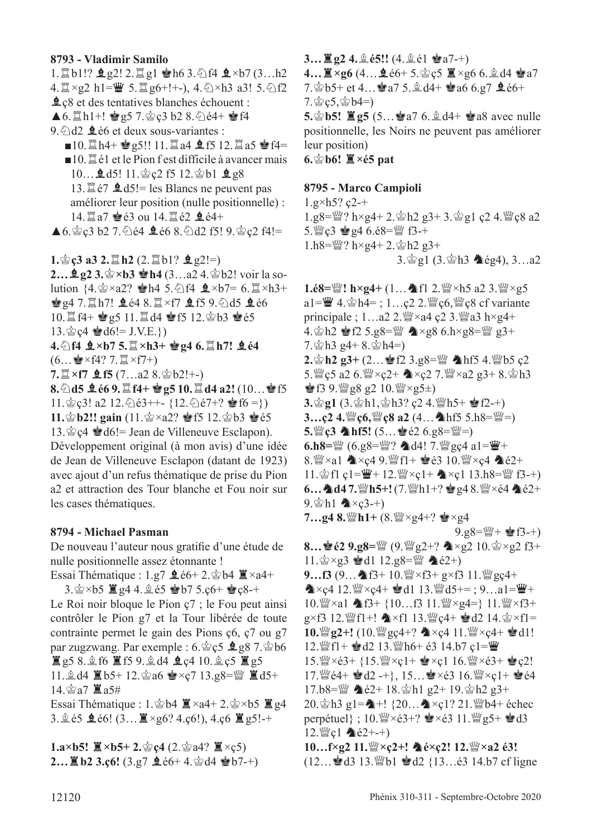#### **8793 - Vladimir Samilo**

1. b1!?  $\log 2! 2$ .  $\log 1$   $\log 16 3$ .  $\log 14 2 \times b7 (3...h2)$ 4.  $\mathbb{Z} \times g2$  h1= $\mathbb{Z}$  5.  $\mathbb{Z}$  g6+!+-), 4.  $\Diamond \times h3$  a3! 5.  $\Diamond f2$ **L** $\neq$  et des tentatives blanches échouent :  $\triangle 6.$   $\Box$  h<sub>1</sub>+!  $\angle$  g5 7. $\angle$  c3 b2 8.  $\angle$  e4+  $\angle$  f4 9. $\triangle$ d2  $\triangle$ é6 et deux sous-variantes :  $\blacksquare$ 10. th4+  $\spadesuit$  g5!! 11. ta4  $\spadesuit$  f5 12. ta5  $\spadesuit$  f4=  $\blacksquare$ 10.  $\mathbb{Z}$  é1 et le Pion f est difficile à avancer mais 10…**g**d5! 11.gc2 f5 12.gb1 **g**g8 13.  $\sharp$  é7  $\sharp$  d5!= les Blancs ne peuvent pas améliorer leur position (nulle positionnelle) : 14. $\Xi$ a7  $\bullet$ é3 ou 14. $\Xi$ é2  $\bullet$ é4+  $\triangle 6.$   $\angle$  c3 b2 7.  $\angle$  é4  $\triangle$  é6 8.  $\angle$  d2 f5! 9.  $\angle$  c2 f4!= **1.** $\mathbf{\hat{g}}$  **c3 a3 2.** $\mathbf{\hat{g}}$  **h2** (2. $\mathbf{\hat{g}}$  b1?  $\mathbf{\hat{g}}$  g2!=)

**2…皇g2 3.**<br>**☆>b3 ●h4** (3…a2 4. ☆b2! voir la solution  $\{4.\simeq \times a2? \cong h4 \cdot 5.\simeq f4 \cdot \< b7 = 6.\simeq \times h3+$  $g4$  7. $\Xi$ h7!  $g64$  8. $\Xi \times f7$   $g15$  9. $\Im$ d5  $g66$  $10.\n **11.4** \n **12.2** \n **13.6** \n **14.6** \n **15.12.2** \n **16.5**$  $13.\,^{\circ}\,^{\circ}\,c4 \cong d6!= J.V.E.\})$  $4.\Diamond$ f4  $\&$ ×b7 5.  $\&$ ×h3+ · 24 6.  $\&$  h7!  $\&$  é4  $(6...$  $\cdot$  × f4? 7.  $\mathbb{Z}$  × f7+) **7.** $\mathbb{I} \times$ **f7**  $\mathbf{\underline{4}}$  **f5** (7...a2 8. $\mathbf{\hat{e}}$ b2!+-) **8.**①**d5 皇é6 9.**置f4+ 曾g5 10.罝d4 a2! (10…曾f5 11. $\hat{\mathscr{Q}}$  c<sup>3!</sup> a2 12. $\hat{\mathscr{Q}}$  e<sup>3++</sup>- {12. $\hat{\mathscr{Q}}$  e<sup>7+?</sup>  $\hat{\mathscr{Q}}$  f6 =}) **11.** $\mathbf{\hat{\Phi}}$ **b2!!** gain  $(11.\mathbf{\hat{\Phi}} \times a2? \mathbf{\hat{\Phi}} 12.\mathbf{\hat{\Phi}} b3 \mathbf{\hat{\Phi}} 65$ 13. $\&$  c4  $\&$  d6!= Jean de Villeneuve Esclapon). Développement original (à mon avis) d'une idée de Jean de Villeneuve Esclapon (datant de 1923) avec ajout d'un refus thématique de prise du Pion a2 et attraction des Tour blanche et Fou noir sur

#### **8794 - Michael Pasman**

les cases thématiques.

De nouveau l'auteur nous gratife d'une étude de nulle positionnelle assez étonnante !

Essai Thématique : 1.g7  $\triangleq$  é6+ 2. $\triangleq$ b4  $\triangleq \times$ a4+ 3. $\circ$ ×b5  $\mathbb{Z}$  g4 4. $\circ$ é5  $\bullet$ b7 5.ç6+  $\bullet$ c8-+

Le Roi noir bloque le Pion ç7 ; le Fou peut ainsi contrôler le Pion g7 et la Tour libérée de toute contrainte permet le gain des Pions ç6, ç7 ou g7 par zugzwang. Par exemple :  $6.\hat{\otimes} c5 \trianglelefteq g8$  7. $\hat{\otimes} b6$  $E$ g5 8. $\pm$ f6  $E$ f5 9. $\pm$ d4  $\pm$ c4 10. $\pm$ c5  $E$ g5 11.  $\triangleq$  d4  $\triangleq$  b5+ 12.  $\triangleq$  a6  $\triangleq$  xc7 13.g8= $\cong$   $\triangleq$  d5+ 14. 含a7 置a5# Essai Thématique : 1. $\mathbf{\hat{\Phi}}$ b4  $\mathbf{\hat{\Xi}} \times a4+2.\mathbf{\hat{\Phi}} \times b5 \mathbf{\hat{\Xi}} g4$ 

3.  $\&$  65  $\&$  66! (3...  $\&$  ×g6? 4.c6!), 4.c6  $\&$  g5!-+

**1.a×b5!**  $\mathbb{Z}$ ×b5+ 2. $\circledcirc$  c4 (2. $\circledcirc$  a4?  $\mathbb{Z}$ ×c5)  $2...$ **E** b2 3.c6!  $(3.97 \text{ } 266 + 4.$  @ d4 @ b7-+)

#### **3…** $\mathbb{E}$  **g2** 4.*ু***<sub>€5</sub>!!** (4.*ွ*<sup>§∈1</sup>  $\mathbb{E}$ <sup>a7-+</sup>)

**4…** $\mathbb{I} \times$ g6 (4… $\mathbb{I} \times$ é6+ 5.宫c5  $\mathbb{I} \times$ g6 6.鱼d4 宫a7 7.  $\circledcirc$  b5+ et 4...  $\circledcirc a$ 7 5.  $\circledcirc$  d4+  $\circledcirc$  a6 6.g7  $\circledcirc$  e6+  $7.\n\&\,\n9;5,\n\&\,\n9;14=$ **5.**<br>**5.**<br>**b5!**  $\mathbb{Z}$ **g5** (5... **a**<sub>8</sub> a<sup>7</sup> 6.  $\mathbb{Q}$ , d<sup>4+</sup>  $\mathbb{Z}$  a8 avec nulle positionnelle, les Noirs ne peuvent pas améliorer leur position)

**6.gb6!**  $\mathbb{\underline{I}} \times 65$  pat

#### **8795 - Marco Campioli**

 $1.g \times h5? c2-+$ 1.g8=de? h×g4+ 2.rh2 g3+ 3.rg1 ç2 4.deç8 a2 5.  $\degree$  c3  $\degree$  g4 6.é8= $\degree$  f3-+  $1.h8 = \frac{300}{2}$  h×g4+ 2. $\frac{3}{2}$ h2 g3+ 3. 宫g1 (3. 宫h3 会g4), 3…a2

**1.é8=** $\mathbb{W}'$ **!** h×g4+ (1… hf1 2. $\mathbb{W}$ ×h5 a2 3. $\mathbb{W}$ ×g5 a1= $\mathbf{W}$  4. $\mathbf{\hat{\Phi}}$ h4=; 1…ç2 2. $\mathbf{\hat{\Psi}}$ ç6, $\mathbf{\hat{\Psi}}$ ç8 cf variante principale ;  $1...a2$   $2.$   $\mathbb{W} \times 44$   $c2$   $3.$   $\mathbb{W} \times 43$   $h \times g4+$ 4.  $\pm$  h2  $\pm$  f2 5.g8= $\frac{100}{4}$   $\times$ g8 6.h $\times$ g8= $\frac{100}{4}$  g3+  $7.\n$ gh $3$  g $4+8.\n$ gh $4=$ ) **2. 宫h2 g3+ (2…會f2 3.g8=** $\mathbb{W}$  **▲hf5 4.** $\mathbb{W}$ **b5 ç2** 5. $\frac{36}{2}$ c5 a2 6. $\frac{36}{2}$ ×ç2+  $\triangle x$ c2 7. $\frac{36}{2}$ ×a2 g3+ 8. $\frac{1}{2}$ h3  $\bullet$  f3 9. $\mathbb{W}$  g8 g2 10. $\mathbb{W} \times$ g5 $\pm$ )  $3.\s{g1}$   $(3.\s{gh1},\s{gh3}$ ? ç2 4. \righ15+  $\s{g1}$   $f2-+)$ **3…ç2 4.***s*/\*e***c6, ��cecalleright and all (4... ▲hf5 5.h8=** $\ddot{x}$ **=)**  $5.$ **g** $c3$  **hf5!**  $(5...$ **e** $e2$   $6.98 =$ **g** $=)$ **6.h8=***s* (6.g8=��? ▲d4! 7.��gç4 a1=��+ 8. $\frac{m}{2} \times a1$   $\triangleleft \times c4$  9. $\frac{m}{2}f1 + \frac{b}{2}e3$  10. $\frac{m}{2} \times c4$   $\triangleleft \triangleleft e2+$ 11. $\hat{\otimes}$ f1 ç1= $\hat{\mathbf{W}}$ + 12. $\hat{\mathbf{W}}$ ×ç1+  $\hat{\mathbf{A}}$ ×ç1 13.h8= $\hat{\mathbf{W}}$  f3-+) **6... ▲d4 7.** h5+! (7. \righ1+? ★g4 8. \right\  $\times$ é2+  $9.$ gh1  $\triangle x$ ç3-+)  $7...$ g4  $8.$   $\frac{100}{2}$  h1+  $(8.$   $\frac{100}{2} \times 94 + ?$   $\approx \frac{1}{2} \times 94$  $9.98 = \frac{100}{10} + \frac{1}{20}f(3 - 1)$ **8…會é2 9.g8=** (9. g2+? ▲×g2 10. 含×g2 f3+  $11.\n\&\times g3 \cong d1\ 12.g8=\n\frac{mg}{g}\n\&\neq 2+\n$  $9...f3$   $(9...A$   $f3+10$ .  $\frac{100}{12} \times f3+g \times f3$  11.  $\frac{100}{12}$   $g c4+$  $\mathbf{\&} \times \mathbf{c}4 \cdot 12. \mathbf{W} \times \mathbf{c}4 + \mathbf{d}1 \cdot 13. \mathbf{W} \cdot 15 + 1; 9...a1 = \mathbf{W} +$ 10. $\mathbb{W} \times$ a1  $\mathbb{A}$ f3+ {10...f3 11. $\mathbb{W} \times$ g4=} 11. $\mathbb{W} \times$ f3+  $g \times f3$  12. [[f]  $f$  +!  $\triangle x f1$  13. [[f]  $g \times f4 + g$  d2 14.  $g \times f1 =$  $10.\mathbb{W}$ g2+!  $(10.\mathbb{W}$ gç4+?  $\triangle \times c4$  11. $\mathbb{W} \times c4+ \triangle 11!$ 12.  $\mathbb{I}$ f1+  $\mathbb{I}$ d2 13.  $\mathbb{I}$ h6+ é3 14.b7 ç1= $\mathbb{I}$ 15. $\mathbb{W} \times 63 + \{15. \mathbb{W} \times c1 + \mathbf{e} \times c1 \} 16. \mathbb{W} \times 63 + \mathbf{e} \cdot c2!$ 17.  $\mathbb{W}$ é4+  $\mathbb{Q}$  d2 -+}, 15… $\mathbb{Q} \times 63$  16.  $\mathbb{W} \times c1 + \mathbb{Q}$ é4 17.b8= $\mathbb{W}$   $\triangle 62+ 18.$  $\oplus$ h1 g2+ 19. $\oplus$ h2 g3+ 20. $\Phi$ h3 g1= $\spadesuit$ +! {20... $\spadesuit$ ×ç1? 21. $\spadesuit$ b4+ échec perpétuel} ;  $10.\mathbb{W} \times 63+$ ?  $\bullet \times 63$  11.  $\mathbb{W}$  g5+  $\bullet$  d3 12. $\mathbb{Q}$ c1  $\triangleq$ é2+-+) **10…f×g2 11.***N*<sup>2</sup> × ç2+! **4** é×ç2! 12. *N*<sup>2</sup> × a2 é3!  $(12...$ d3 13. Wb1 d2  $\{13...$ é3 14.b7 cf ligne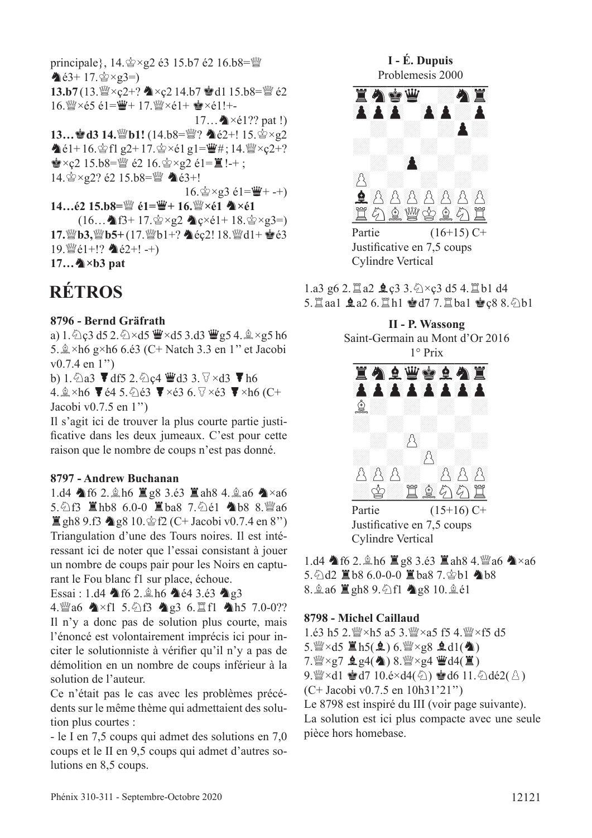principale},  $14.\n\× g2 \neq 3$  15.b7  $\neq 2$  16.b8=\"  $\triangle 63 + 17. \triangle xg3=$ 13.b7 (13. Sex 2+? ▲×ç2 14.b7 ●d1 15.b8= \$2  $16.$  W ×  $65 \text{ é }1 = 4 + 17.$  W ×  $61 + 18 = 11 + 15$ 17... $\triangle \times 1$ ?? pat!) 13... • d3 14. [b1! (14.b8= $\frac{100}{2}$ ? • é2+! 15.  $\frac{1}{2} \times g2$  $\triangle 61+16.$   $\triangle$  fl  $g2+17.$   $\triangle$   $\times$   $e1g1=\frac{w}{g}$  #; 14.  $\triangle$   $\times$   $c2+?$  $\bullet \times c2$  15.b8= $\mathbb{W}$  é2 16. $\circ \times$  e2 é1= $\mathbb{E}$ !-+; 14. \$×g2? é2 15.b8=\{{@``` à é3+!  $16. \&\times g3 \&1=\&++$ 

14... $\acute{e}2$  15.b8= $\dddot{\mathbb{W}}$   $\acute{e}1$ = $\ddot{\mathbb{W}}$ + 16. $\ddot{\mathbb{W}}$ × $\acute{e}1$   $\spadesuit$  × $\acute{e}1$  $(16...$  16.  $17. \circ xg2$  12  $\circ \circ (1 + 18. \circ xg3)$ 17. sb3, sb5+(17. sb1+? \ec2! 18. sd1+ e é3 19.  $\mathcal{L}\in\{1+1\}$   $\mathbf{\triangle}$   $\in$  2+! -+)  $17...$   $\blacktriangle \times b3$  pat

## **RÉTROS**

#### 8796 - Bernd Gräfrath

a) 1. 公c3 d5 2. 公×d5 曹×d5 3.d3 曹g5 4. 鱼×g5 h6 5.  $\&$  ×h6 g×h6 6. é3 (C+ Natch 3.3 en 1" et Jacobi  $v0.7.4$  en 1")

b) 1. 2a3  $\blacktriangledown$  df5 2. 2c4  $\blacktriangledown$  d3 3.  $\triangledown \times$  d3  $\blacktriangledown$  h6

4.  $\&$  ×h6  $\blacktriangledown$  é4 5.  $\&$  é3  $\blacktriangledown$  ×é3 6.  $\forall$  ×é3  $\blacktriangledown$  ×h6 (C+ Jacobi v0.7.5 en 1")

Il s'agit ici de trouver la plus courte partie justificative dans les deux jumeaux. C'est pour cette raison que le nombre de coups n'est pas donné.

#### 8797 - Andrew Buchanan

1.d4  $\triangle$  f6 2.  $\triangle$  h6  $\cong$  g8 3.é3  $\cong$  ah8 4.  $\triangle$  a6  $\triangle$  × a6 5. 公f3 国hb8 6.0-0 国ba8 7. 公é1 4b8 8. 幽a6  $\Xi$  gh8 9.f3  $\triangleq$  g8 10. $\cong$  f2 (C+ Jacobi v0.7.4 en 8") Triangulation d'une des Tours noires. Il est intéressant ici de noter que l'essai consistant à jouer un nombre de coups pair pour les Noirs en capturant le Fou blanc f1 sur place, échoue.

Essai: 1.d4 \f6 2. \ph6 \c4 3.e3 \c3

4. 曾a6 ★×f1 5. 公f3 ▲g3 6. 置f1 ▲h5 7.0-0?? Il n'y a donc pas de solution plus courte, mais l'énoncé est volontairement imprécis ici pour inciter le solutionniste à vérifier qu'il n'y a pas de démolition en un nombre de coups inférieur à la solution de l'auteur.

Ce n'était pas le cas avec les problèmes précédents sur le même thème qui admettaient des solution plus courtes :

- le I en 7,5 coups qui admet des solutions en 7,0 coups et le II en 9,5 coups qui admet d'autres solutions en 8,5 coups.



1.a3 g6 2. 1a2 **g**c3 3. 公×c3 d5 4. 1b1 d4 5. Iaa1 鱼a2 6. Ih1 曾d7 7. Iba1 曾c8 8. 2b1



Justificative en 7,5 coups **Cylindre Vertical** 

1.d4  $\triangle$  f6 2.  $\triangle$  h6  $\triangle$  g8 3.é3  $\triangle$  ah8 4.  $\triangle$  a6  $\triangle$  × a6 5.  $\triangle$ d2  $\angle$ 18 6.0-0-0  $\angle$ 18 ba8 7.  $\triangle$ b1 �� b8 8.  $\angle$  a6  $\angle$  gh8 9.  $\angle$  f1  $\triangle$  g8 10.  $\angle$  é1

#### 8798 - Michel Caillaud

 $5.$  ( $\times$ d $5 \leq h5(2)$  6.  $\leq \times g8$   $2 \leq dl(4)$ )  $7.$   $\mathbb{W} \times$ g7  $2.94$  (4) 8.  $\mathbb{W} \times$ g4  $\mathbb{W}$ d4(1) 9.  $\mathscr{L} \times d1 \cong d7 10.6 \times d4(\mathscr{L}) \cong d6 11. \triangle d62(\mathscr{L})$  $(C+$  Jacobi v0.7.5 en 10h31'21") Le 8798 est inspiré du III (voir page suivante). La solution est ici plus compacte avec une seule pièce hors homebase.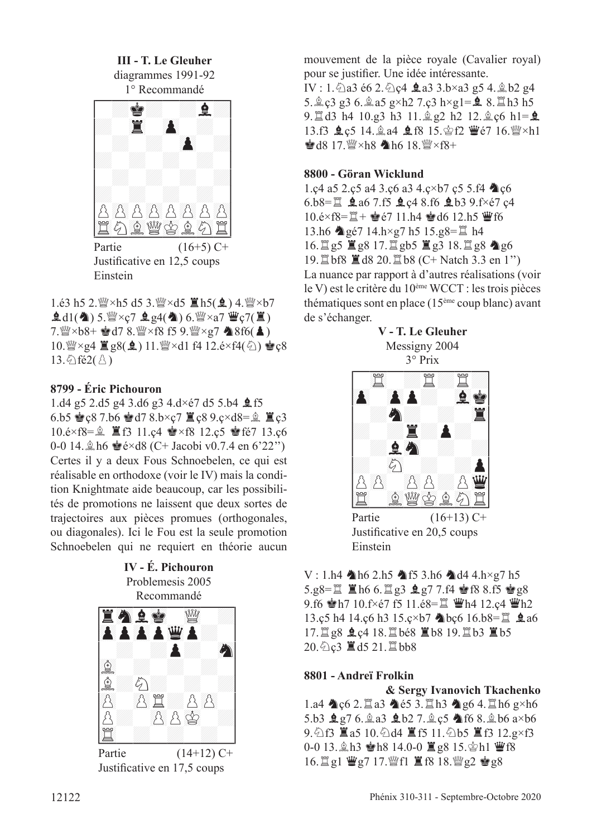**III - T. Le Gleuher**

diagrammes 1991-92



Partie  $(16+5)$  C+ Justifcative en 12,5 coups Einstein

1.é3 h5 2. $\frac{W}{2} \times h$ 5 d5 3. $\frac{W}{2} \times d$ 5  $\Xi$  h5( $\Omega$ ) 4. $\frac{W}{2} \times b$ 7  $\hat{\mathbf{Q}}$ d1( $\hat{\mathbf{Q}}$ ) 5. $\hat{\mathbf{W}} \times c$ 7  $\hat{\mathbf{Q}}$  g4( $\hat{\mathbf{Q}}$ ) 6. $\hat{\mathbf{W}} \times a$ 7  $\hat{\mathbf{W}}$ c7( $\hat{\mathbf{Z}}$ )  $7.$ @ $\times$ b8+  $\bullet$ d7 8.@ $\times$ f8 f5 9.@ $\times$ g7  $\bullet$ 8f6( $\bullet$ ) 10.  $\mathbb{Z} \times$ g4  $\mathbb{Z}$ g8( $\mathbb{Q}$ ) 11.  $\mathbb{Z} \times$ d1 f4 12.é×f4( $\Diamond$ )  $\mathbb{Q}$ c8 13. $\hat{\mathcal{L}}$ fé2( $\hat{\mathcal{L}}$ )

#### **8799 - Éric Pichouron**

1.d4 g5 2.d5 g4 3.d6 g3 4.d×é7 d5 5.b4  $\text{\textsterling}$ f5 6.b5  $\bullet$  c8 7.b6  $\bullet$  d7 8.b×c7  $\mathbb{Z}$  c8 9.c×d8= $\mathbb{Z}$   $\mathbb{Z}$  c3 10. $\acute{e}$ ×f8= $\hat{g}$   $\hat{g}$  f3 11.c4  $\dot{g}$  ×f8 12.c5  $\dot{g}$  fé7 13.c6 0-0 14. $\&$  h6  $\&$  é $\times$ d8 (C+ Jacobi v0.7.4 en 6'22") Certes il y a deux Fous Schnoebelen, ce qui est réalisable en orthodoxe (voir le IV) mais la condition Knightmate aide beaucoup, car les possibilités de promotions ne laissent que deux sortes de trajectoires aux pièces promues (orthogonales, ou diagonales). Ici le Fou est la seule promotion Schnoebelen qui ne requiert en théorie aucun

**IV - É. Pichouron** Problemesis 2005



Partie  $(14+12)$  C+ Justifcative en 17,5 coups

mouvement de la pièce royale (Cavalier royal) pour se justifer. Une idée intéressante. IV : 1.  $\triangle$ a3 é6 2.  $\triangle$ c4  $\triangle$ a3 3.b×a3 g5 4.  $\triangle$ b2 g4 5.  $\angle$  c3 g3 6.  $\angle$  a5 g×h2 7.c3 h×g1= $\angle$  8. I $\angle$  h3 h5 9. $\mathbb{Z}$ d3 h4 10.g3 h3 11. $\hat{\mathbb{Z}}$  g2 h2 12. $\hat{\mathbb{Z}}$  c6 h1= $\hat{\mathbb{Z}}$ 

13.f3 **Q**c5 14. ga4 **Qf8** 15. gf2  $\ddot{\textbf{w}}$  e7 16.  $\ddot{\textbf{w}}$  ×h1  $\triangleq$  d8 17.  $\angle W \times h8$  A h6 18.  $\angle W \times f8+$ 

#### **8800 - Göran Wicklund**

1.ç4 a5 2.ç5 a4 3.ç6 a3 4.ç×b7 ç5 5.f4  $\triangle$ ç6 6.b8= $\Xi$  **Q** a6 7.f5 **Q** c4 8.f6 **Q** b3 9.f $\times$ é7 c4  $10.\text{e}{\times}f8=\square + \cdot \cdot \cdot 7$  11.h4  $\cdot \cdot \cdot 46$  12.h5  $\cdot \cdot \cdot 66$ 13.h6  $\triangle$  gé7 14.h×g7 h5 15.g8= $\cong$  h4  $16. \square$  g5  $\Sigma$  g8 17. $\square$  gb5  $\Sigma$  g3 18. $\square$  g8  $\triangle$  g6 19. bf8  $\angle$  d8 20.  $\angle$  b8 (C+ Natch 3.3 en 1") La nuance par rapport à d'autres réalisations (voir le V) est le critère du 10ème WCCT : les trois pièces thématiques sont en place (15ème coup blanc) avant de s'échanger.



Justifcative en 20,5 coups Einstein

 $V: 1.h4$  h6 2.h5 hf5 3.h6 hd4 4.h×g7 h5 5.g8= $\Xi$   $\Xi$  h6 6. $\Xi$ g3  $\Omega$ g7 7.f4 @f8 8.f5 @g8 9.f6  $\bullet$ h7 10.f×é7 f5 11.é8= $\mathbb{Z}$  Wh4 12.ç4 Wh2 13.c5 h4 14.c6 h3 15.c×b7  $\triangleleft$  bc6 16.b8= $\angle$   $\triangleleft$  a6  $17. \ \ \, \text{\&g8} \ \ \text{\&g4} \ 18. \ \ \, \text{\&b8} \ \ \text{\&b8} \ 19. \ \ \, \text{\&b3} \ \ \text{\&b5}$  $20.\text{\textdegree}$  $c3 \equiv$   $d5 \frac{\textdegree}{} 21.\text{ }$  $\equiv$   $bb8$ 

#### **8801 - Andreï Frolkin**

**& Sergy Ivanovich Tkachenko** 1.a4  $\triangle$ c $6$  2. $\triangleq$ a3  $\triangleq$ é5 3. $\triangleq$ h3  $\triangleq$ g6 4. $\triangleq$ h6 g×h6 5.b3  $\angle$  g7 6. $\angle$ a3  $\angle$ b2 7. $\angle$ g c5  $\angle$  f6 8. $\angle$ b6 a×b6  $9.\&$  f3  $\equiv$  a5 10. $\&$  d4  $\equiv$  f5 11. $\&$  b5  $\equiv$  f3 12.g×f3 0-0 13. th3 th8 14.0-0 直g8 15. th1 曹f8 16.  $\mathbb{Z}$  g1  $\mathbb{Z}$  g7 17.  $\mathbb{Z}$  f1  $\mathbb{Z}$  f8 18.  $\mathbb{Z}$  g2  $\mathbb{Z}$  g8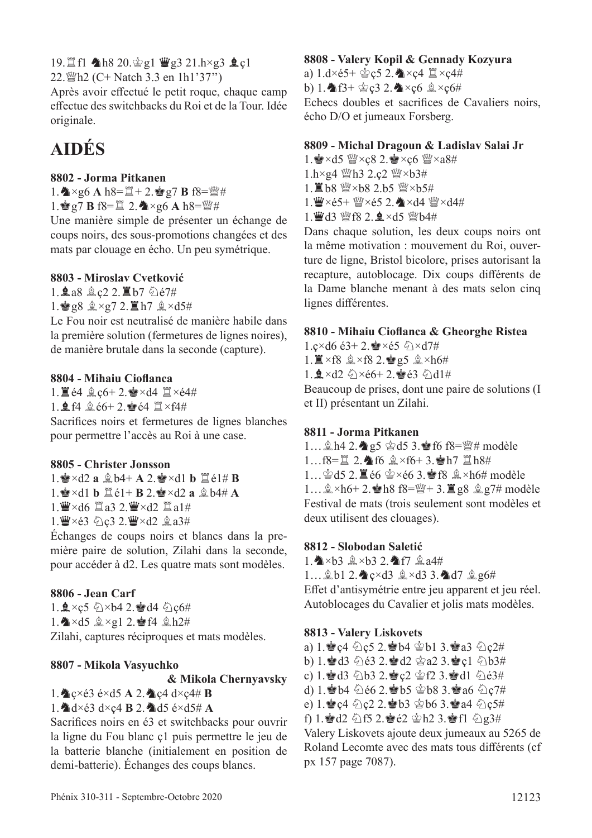19. lf1 4h8 20. 宫g1 曹g3 21.h×g3 鱼ç1

22. $\frac{100}{22}$  (C+ Natch 3.3 en 1h1'37")

Après avoir effectué le petit roque, chaque camp efectue des switchbacks du Roi et de la Tour. Idée originale.

## **AIDÉS**

#### **8802 - Jorma Pitkanen**

 $1.\n\clubsuit \times g6 \text{ A } h8 = \square + 2.\n\spadesuit g7 \text{ B } f8 = \square + 2.$ 1. **g7 B** f8= $\Xi$  2.  $\blacktriangle \times$ g6 A h8= $\mathcal{L}$ #

Une manière simple de présenter un échange de coups noirs, des sous-promotions changées et des mats par clouage en écho. Un peu symétrique.

#### **8803 - Miroslav Cvetković**

1. 鱼a8 鱼c2 2. 置b7 负é7#

 $1.\n\bullet g8 \triangleq \times g7$  2.  $\Xi$  h7  $\triangleq \times d5\#$ 

Le Fou noir est neutralisé de manière habile dans la première solution (fermetures de lignes noires), de manière brutale dans la seconde (capture).

#### **8804 - Mihaiu Ciofanca**

 $1.$   $\mathbb{E}$  é4  $\&$  c6+ 2. $\mathbb{E} \times d4 \mathbb{E} \times d4$ # 1.  $\mathbf{\Omega}$  f4  $\mathbf{\hat{\mathbb{E}}}$  é6+ 2.  $\mathbf{\hat{\mathbb{E}}}$  é4  $\mathbf{\Xi} \times$ f4# Sacrifces noirs et fermetures de lignes blanches pour permettre l'accès au Roi à une case.

#### **8805 - Christer Jonsson**

 $1.$  $\bullet \times d2$  **a**  $\&$   $b4+$  **A**  $2.$  $\bullet \times d1$  **b**  $\&$   $\&$   $e1 \#$  **B**  $1.\bullet \times d1$  **b**  $\Box$   $e1+$  **B**  $2.\bullet \times d2$  **a**  $\Diamond$   $b4\#$  **A**  $1.$  $\mathbf{W} \times \mathbf{d}6$   $\mathbf{Z}$  a3 2. $\mathbf{W} \times \mathbf{d}2$   $\mathbf{Z}$  a1# 1. W×é3 公c3 2. W×d2 鱼a3#

Échanges de coups noirs et blancs dans la première paire de solution, Zilahi dans la seconde, pour accéder à d2. Les quatre mats sont modèles.

#### **8806 - Jean Carf**

1.  $\frac{1}{2} \times c$ 5  $\frac{1}{2} \times b$ 4 2.  $\frac{1}{2} d4 \frac{1}{2} c6 \#$  $1.\spadesuit \times d5 \rightharpoonup \times q12.\spadesuit f4 \rightharpoonup h2\#$ Zilahi, captures réciproques et mats modèles.

#### **8807 - Mikola Vasyuchko**

**& Mikola Chernyavsky**

 $1.\overset{\bullet}{\blacktriangle}$ c $\times$ é3 é $\times$ d5 A 2. $\overset{\bullet}{\blacktriangle}$ c4 d $\times$ c4# **B** 

 $1.\overset{\bullet}{\blacktriangle}$ d×é3 d×c4 **B** 2. $\overset{\bullet}{\blacktriangle}$ d5 é×d5# **A** 

Sacrifces noirs en é3 et switchbacks pour ouvrir la ligne du Fou blanc ç1 puis permettre le jeu de la batterie blanche (initialement en position de demi-batterie). Échanges des coups blancs.

#### **8808 - Valery Kopil & Gennady Kozyura**

a)  $1. d \times 65+ \circledcirc$ ç5 2. $\triangleleft \times c4 \mathbb{Z} \times c4 \#$ b) 1.  $f3 + \r{c}c3$  2.  $f4 \times c6$   $f2 \times c6 \#$ Echecs doubles et sacrifces de Cavaliers noirs, écho D/O et jumeaux Forsberg.

#### **8809 - Michal Dragoun & Ladislav Salai Jr**

1.  $\cdot$   $\times$  d5  $\cdot$   $\cdot$   $\times$  c8 2.  $\cdot$   $\times$  c6  $\cdot$   $\cdot$   $\times$  a8# 1.h×g4 *Wh3* 2.c2 *W* ×b3# 1. ■b8 營×b8 2.b5 營×b5#

 $1.$  $\mathbf{W} \times 65 + \mathbf{W} \times 65$  2.  $\mathbf{A} \times 44$   $\mathbf{W} \times 44$ #

1. 曾d3 營f8 2. g×d5 營b4#

Dans chaque solution, les deux coups noirs ont la même motivation : mouvement du Roi, ouverture de ligne, Bristol bicolore, prises autorisant la recapture, autoblocage. Dix coups diférents de la Dame blanche menant à des mats selon cinq lignes diférentes.

#### **8810 - Mihaiu Ciofanca & Gheorghe Ristea**

1.c×d6 é3+ 2. $\bullet x$ é5  $\Diamond x$ d7# 1.  $\mathbb{Z} \times$ f8  $\mathbb{Q} \times$ f8 2. $\mathbb{Q}$  g5  $\mathbb{Q} \times$ h6#  $1.9 \times d2 \quad \circledcirc \times 66 + 2.$ es é3  $\circledcirc$  d1#

Beaucoup de prises, dont une paire de solutions (I et II) présentant un Zilahi.

#### **8811 - Jorma Pitkanen**

1...  $\hat{\mathbb{Z}}$  h4 2. $\hat{\mathbb{Z}}$ g5  $\hat{\mathbb{Z}}$ d5 3. $\hat{\mathbb{Z}}$ f6 f8= $\hat{\mathbb{Z}}$ # modèle  $1...$ f8= $\Xi$  2. $\spadesuit$  f6  $\⋉$  f6+ 3. $\spadesuit$  h7  $\Xi$  h8#  $1...$  $\triangle$ d5 2. $\angle$ é6  $\triangle$ ×é6 3. $\angle$ f8  $\triangle$ ×h6# modèle 1… $\&×h6+2.$  $\bullet$ h8 f8= $\&+3.\&g8 \&g7\#$  modèle Festival de mats (trois seulement sont modèles et deux utilisent des clouages).

#### **8812 - Slobodan Saletić**

1. A × b3 2. A f7  $2a4#$ 

1... gb1 2. c×d3 g×d3 3. d7 g g6#

Efet d'antisymétrie entre jeu apparent et jeu réel. Autoblocages du Cavalier et jolis mats modèles.

#### **8813 - Valery Liskovets**

a) 1.Rç4 cç5 2.Rb4 rb1 3.Ra3 cç2# b) 1. d3  $63$  2.d2  $42$   $23$ .d2  $163#$ c) 1. d3  $\bigcirc$  b3 2. e c2  $\bigcirc$  f2 3. d1  $\bigcirc$  e3# d) 1. b4  $66$  2. b5  $68$  3. a6  $6$ e) 1.  $C$  c<sub>2</sub> 2. b3  $C$  b6 3. a4  $C$  c<sub>5</sub># f) 1. d2  $\bigoplus$  f5 2. de2  $\bigoplus$  h2 3. def1  $\bigoplus$  g3#

Valery Liskovets ajoute deux jumeaux au 5265 de Roland Lecomte avec des mats tous diférents (cf px 157 page 7087).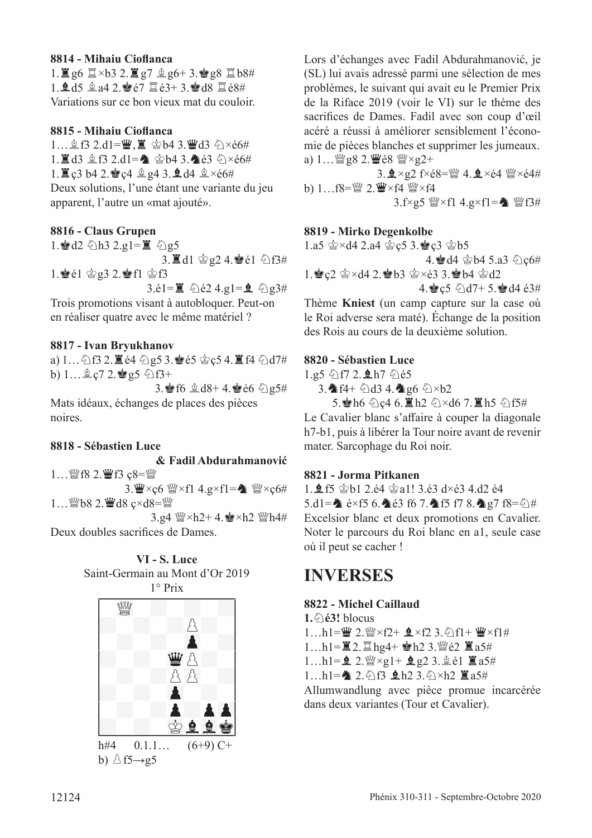#### **8814 - Mihaiu Ciofanca**

 $1.\Xi$  g6  $\Xi \times b3$  2.  $\Xi$  g7  $\triangleq$  g6+ 3. $\angle$  g8  $\Xi$  b8#  $1.945 \& a4 2.967 \& a3+3.9648 \& a8+4$ Variations sur ce bon vieux mat du couloir.

#### **8815 - Mihaiu Ciofanca**

 $1...$  $2.53$   $2. d1 = \ddot{w}$ ,  $\ddot{w}$  &  $\dot{\phi}$  as  $43$   $6 \times 66#$  $1.$  $1.$  $d3$   $d3$   $f3$   $2. d1 =$   $d4$   $d5$   $d6$   $e3$   $f3 \times f6$   $f4$  $1.$   $\Xi$  c3 b4 2.  $\angle$  c4  $\angle$  g4 3.  $\angle$  d4  $\angle$   $\times$  e6# Deux solutions, l'une étant une variante du jeu apparent, l'autre un «mat ajouté».

#### **8816 - Claus Grupen**

1. ad2 公h3 2.g1=罝 公g5  $3.\n  $\mathbf{d}1 \otimes \mathbf{e}2 \cdot 4.\n  $\mathbf{e}1 \otimes \mathbf{f}3 \neq 0$$$ 1.  $\bullet$   $\acute{e}$ 1  $\circ$   $\circ$   $g$ 3 2.  $\bullet$  f1  $\circ$  f3  $3.\dot{e}1=\mathbb{E} \quad \hat{\triangle}$  e2  $4.\text{g}1=\mathbf{\hat{e}} \quad \hat{\triangle}$  g3#

Trois promotions visant à autobloquer. Peut-on en réaliser quatre avec le même matériel ?

#### **8817 - Ivan Bryukhanov**

a)  $1...$   $2.5$  2.  $2e4$   $2.95$  3.  $e5$   $2.5$   $4.2$   $14$   $2d7$ # b)  $1...$  $2$ ,  $67$   $2.$   $85$   $613+$ 

3. f6  $\&$  d8+ 4.  $\bullet$  e6  $\&$  e5# Mats idéaux, échanges de places des pièces

#### **8818 - Sébastien Luce**

noires.

#### **& Fadil Abdurahmanović**

1... 營f8 2. 曹f3 ç8=營 3. $\mathbf{W} \times \mathbf{c}6 \cong \times \mathbf{f}1$  4.g $\times \mathbf{f}1 = \mathbf{\&} \cong \times \mathbf{c}6 \#$ 1... *彎*b8 2. *彎d8* ç×d8=*彎* 

 $3.94 \frac{m}{2} \times h2 + 4.$  $\approx$   $\times h2 \frac{m}{2} h4 \#$ 

Deux doubles sacrifces de Dames.

**VI - S. Luce** Saint-Germain au Mont d'Or 2019



Lors d'échanges avec Fadil Abdurahmanović, je (SL) lui avais adressé parmi une sélection de mes problèmes, le suivant qui avait eu le Premier Prix de la Riface 2019 (voir le VI) sur le thème des sacrifces de Dames. Fadil avec son coup d'œil acéré a réussi à améliorer sensiblement l'économie de pièces blanches et supprimer les jumeaux. a)  $1...$  @g8 2.  $\mathbf{W} \in \mathbf{S}$  @ $\times$ g2+

 $3.2 \times g2$  f $\times$ é $8 = \frac{g}{g}$  4.  $\frac{1}{2} \times 64$   $\frac{g}{g} \times 64$ # b)  $1...$ f8= $\mathbb{W}$  2. $\mathbb{W}$ ×f4  $\mathbb{W}$ ×f4  $3.f \times g5 \cong \times f14.g \times f1 = \bullet$   $\cong f3#$ 

#### **8819 - Mirko Degenkolbe**

 $1.a5 \& \times d4 \; 2.a4 \& c5 \; 3.\; \& c3 \& b5$ 

4. d4 \$b4 5.a3  $\Diamond$  c6# 1.  $c2 \approx \times d4$  2.  $b3 \approx \times 63$  3.  $b4 \approx d2$ 

4.  $c5 \text{ and } 7+ 5.$   $d4 \text{ and } 3#$ Thème **Kniest** (un camp capture sur la case où le Roi adverse sera maté). Échange de la position des Rois au cours de la deuxième solution.

#### **8820 - Sébastien Luce**

 $1.95 \text{ m}72.$ \$h7  $\text{\textdegree}65$ 

3. f4+ 2d3 4. g6 2×b2

5. h6 公c4 6. lh2 公×d6 7. lh5 公f5# Le Cavalier blanc s'affaire à couper la diagonale h7-b1, puis à libérer la Tour noire avant de revenir mater. Sarcophage du Roi noir.

#### **8821 - Jorma Pitkanen**

1.  $\frac{6}{5}$  f5  $\frac{6}{5}$  b1 2.é4  $\frac{6}{5}$  a1! 3.é3 d×é3 4.d2 é4 5.d1= $\triangle$  é×f5 6. $\triangle$ é3 f6 7. $\triangle$ f5 f7 8. $\triangle$ g7 f8= $\triangle$ # Excelsior blanc et deux promotions en Cavalier. Noter le parcours du Roi blanc en a1, seule case où il peut se cacher !

### **INVERSES**

#### **8822 - Michel Caillaud**

**1.**c**é3!** blocus  $1...h1 = \frac{w}{2} \cdot \frac{w}{2} \times f2 + 2 \times f2$  3.  $\frac{w}{f1} + \frac{w}{f1} \times f1 \#$ 1...h1= $\angle$ 2. $\angle$ hg4+  $\angle$ h2 3. $\angle$ gé2  $\angle$ a5#

 $1...h1=\mathbf{2}.$   $\mathbb{W}\times q1+\mathbf{2}.q2.3.\hat{q}61 \equiv a5\#$ 

 $1...h1 = 2.9f3$   $h2$   $3.9 \times h2$   $\Xi a$ 5#

Allumwandlung avec pièce promue incarcérée dans deux variantes (Tour et Cavalier).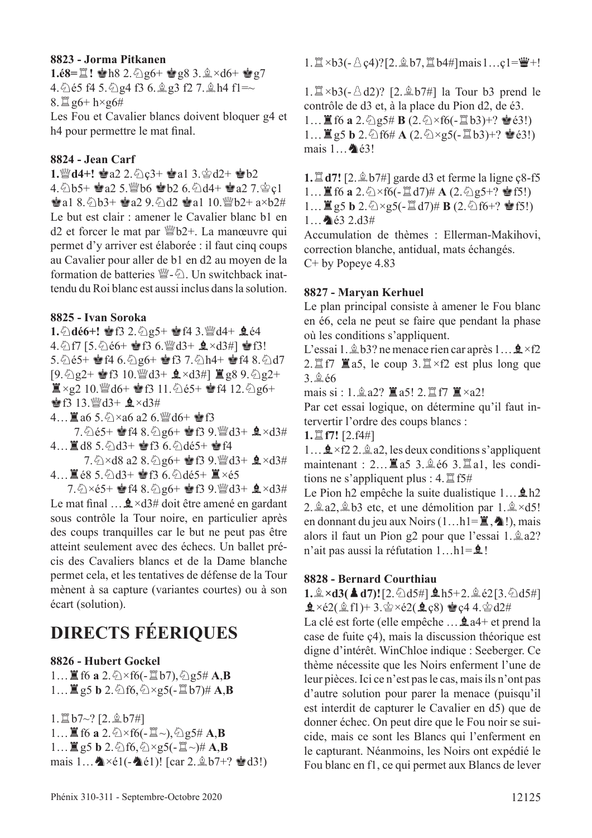#### **8823 - Jorma Pitkanen**

**1.é8=里! 會h8 2.** ②g6+ 會g8 3.  $\frac{4}{3} \times d6$ + 會g7 4.  $\&$  65 f4 5.  $\&$  g4 f3 6.  $\&$  g3 f2 7.  $\&$  h4 f1=~  $8.\nexists g6+ h\times g6\#$ Les Fou et Cavalier blancs doivent bloquer g4 et h4 pour permettre le mat fnal.

#### **8824 - Jean Carf**

**1. 曾d4+! 會a2 2. 公c3+ 會a1 3. 含d2+ 會b2** 

 $4.\&05+$   $\bullet$  a2 5. Wb6  $\bullet$  b2 6.  $\&04+$   $\bullet$  a2 7.  $\&0;$  $\bullet$ a1 8. $\odot$ b3+  $\bullet$ a2 9. $\odot$ d2  $\bullet$ a1 10. $\mathcal{W}$ b2+ a×b2# Le but est clair : amener le Cavalier blanc b1 en d2 et forcer le mat par *N*b2+. La manœuvre qui permet d'y arriver est élaborée : il faut cinq coups au Cavalier pour aller de b1 en d2 au moyen de la formation de batteries  $\mathbb{W}-\mathbb{Z}$ . Un switchback inattendu du Roi blanc est aussi inclus dans la solution.

#### **8825 - Ivan Soroka**

1. ①dé6+! 會f3 2. 2g5+ 會f4 3. @d4+ 鱼é4 4. 5 f7 [5. 5 é6+ \$f3 6. @d3+ g ×d3#] \$f3! 5.  $65+$   $646.$   $296+$   $6437.$   $20h4+$   $648.$   $20d7$  $[9.624 \cdot 10.000]$   $(3 + 9 \times 134)$   $(3 \times 9.62)$   $(2 + 1)$  $\mathbb{Z} \times g2$  10. 2d6+  $\mathbb{Z}$ f3 11.  $\Diamond$ é5+  $\mathbb{Z}$ f4 12.  $\Diamond$ g6+  $\bullet$  f3 13.  $\mathcal{Q}$ d3+  $\mathcal{Q} \times d3#$ 

4... $\mathbb{Z}$  a6 5. $\Diamond$  × a6 a2 6. $\mathbb{Z}$ d6+  $\mathbb{Z}$ f3

 $7.\textdegree$  e5+  $\bullet$  f4 8.  $\textdegree$  e6+  $\bullet$  f3 9.  $\textdegree$  d3+  $\bullet$  ×d3#  $4...$  $d8$  5. $\odot$  $d3+$   $d8$  6. $\odot$  $d65+$   $d8$   $f4$ 

7.  $\Diamond$  × d8 a2 8.  $\Diamond$  g6+  $\bigcirc$  f3 9.  $\bigcirc$  d3+  $\bigcirc$  × d3# 4... ■ é8 5. ① d3+ 會f3 6. ② dé5+ ■×é5

7.  $\Diamond \times 65+$  e f4 8.  $\Diamond$  g6+ e f3 9.  $\mathscr{B}$ d3+  $\mathscr{A}$   $\times$ d3# Le mat final  $\ldots$   $\frac{1}{2}$  ×d3# doit être amené en gardant sous contrôle la Tour noire, en particulier après des coups tranquilles car le but ne peut pas être atteint seulement avec des échecs. Un ballet précis des Cavaliers blancs et de la Dame blanche permet cela, et les tentatives de défense de la Tour mènent à sa capture (variantes courtes) ou à son écart (solution).

## **DIRECTS FÉERIQUES**

#### **8826 - Hubert Gockel**

 $1...$ **E** f6 **a** 2. $\∖$   $\times$  f6( $\text{-}$ **E** b7),  $\∖$  g5# **A,B**  $1...$  $\mathbb{E}$  g5 **b** 2. $\Diamond$ f6, $\Diamond \times$ g5(- $\mathbb{E}$ **b7)# A**,**B** 

 $1.\n **1** b7~? [2.\n **1** b7~]$ 

 $1...$ **E** f6 **a** 2. $\oslash$  × f6(-**E** ~),  $\oslash$  g5# **A**,**B**  $1...$  $\mathbb{E}$  g5 **b** 2. $\Diamond$ f6, $\Diamond \times$ g5( $\text{-} \mathbb{E} \sim$ )# **A**,**B** mais  $1 \dots \triangleleft \times 1(- \triangleleft 61)!$  [car  $2 \triangleleft 8b7+$ ?  $\triangleleft 3!)$   $1.\Xi \times b3(-\triangle \c{c}4)$ ? [2. $\triangleq b7, \Xi b4\#$ ] mais  $1\ldots c1=\mathbf{\ddot{W}}+!$ 

 $1.\n\mathbb{Z} \times b3(-\triangle d2)?$  [2. $\triangle b7\#$ ] la Tour b3 prend le contrôle de d3 et, à la place du Pion d2, de é3. 1... **If** f6 **a** 2.  $\frac{5}{2}$ g5# **B** (2.  $\frac{5}{2}$ ×f6(- $\frac{10}{2}$ b3)+?  $\stackrel{\bullet}{\bullet}$ é3!) 1...  $\mathbb{E}$  g5 **b** 2.  $\circled{}$  f6# **A** (2.  $\circled{} \times$ g5(- $\mathbb{E}$  b3)+?  $\bullet$  é3!) mais  $1 \cdot \bullet$  é3!

**1. d7!** [2.  $\angle$  b7#] garde d3 et ferme la ligne ç8-f5 1...  $\mathbb{E}$  f6 **a** 2.  $\Diamond$  × f6(- $\mathbb{E}$  d7)# **A** (2.  $\Diamond$  g5+?  $\mathbb{E}$  f5!)  $1... \equiv g5 b 2.$   $\Diamond \times g5(- \equiv d7) \# B(2. \triangle f6+? \triangle f5!)$  $1...$   $63.2.13#$ 

Accumulation de thèmes : Ellerman-Makihovi, correction blanche, antidual, mats échangés. C+ by Popeye 4.83

#### **8827 - Maryan Kerhuel**

Le plan principal consiste à amener le Fou blanc en é6, cela ne peut se faire que pendant la phase où les conditions s'appliquent.

L'essai 1.  $\&$  b3? ne menace rien car après 1...  $\&$  ×f2 2. $\mathbb{Z}$  f7  $\mathbb{Z}$  a5, le coup 3. $\mathbb{Z} \times$  f2 est plus long que  $3.966$ 

mais si :  $1.\n$ ga2?  $\mathbb{Z}$ a5!  $2.\n$ Tf7  $\mathbb{Z} \times$ a2!

Par cet essai logique, on détermine qu'il faut intervertir l'ordre des coups blancs :

**1.**t**f7!** [2.f4#]

 $1 \dots \triangle 2 \times 12$ .  $\triangle 2$ , les deux conditions s'appliquent maintenant :  $2...$   $\overline{2}$  a5 3. $\stackrel{6}{\cancel{0}}$  é6 3. $\stackrel{10}{\cancel{0}}$  a1, les conditions ne s'appliquent plus :  $4. \mathbb{Z}$  f5#

Le Pion h2 empêche la suite dualistique  $1...$   $\Delta$ h2 2.  $\hat{\mathbb{Q}}$  a2,  $\hat{\mathbb{Q}}$  b3 etc, et une démolition par 1.  $\hat{\mathbb{Q}} \times d5!$ en donnant du jeu aux Noirs  $(1...h1=\mathbb{E},\mathbf{\triangle}!)$ , mais alors il faut un Pion g2 pour que l'essai 1.  $2 \text{ a}$ 2? n'ait pas aussi la réfutation  $1...h1 = 2!$ 

#### **8828 - Bernard Courthiau**

 $1.\hat{A} \times d3(\triangle d7)!$  [2.  $\hat{O} d5\#$ ]  $\triangle h5+2.\hat{A} d5\#$ ]  $\hat{\mathbf{Q}} \times 62(\hat{\mathbf{Q}} \text{ f1}) + 3.\hat{\mathbf{Q}} \times 62(\hat{\mathbf{Q}} \text{ c}8) \hat{\mathbf{Q}} \text{ c}44.\hat{\mathbf{Q}} \text{ d}2#$ 

La clé est forte (elle empêche ...  $\hat{\mathbf{Q}}$  a4+ et prend la case de fuite ç4), mais la discussion théorique est digne d'intérêt. WinChloe indique : Seeberger. Ce thème nécessite que les Noirs enferment l'une de leur pièces. Ici ce n'est pas le cas, mais ils n'ont pas d'autre solution pour parer la menace (puisqu'il est interdit de capturer le Cavalier en d5) que de donner échec. On peut dire que le Fou noir se suicide, mais ce sont les Blancs qui l'enferment en le capturant. Néanmoins, les Noirs ont expédié le Fou blanc en f1, ce qui permet aux Blancs de lever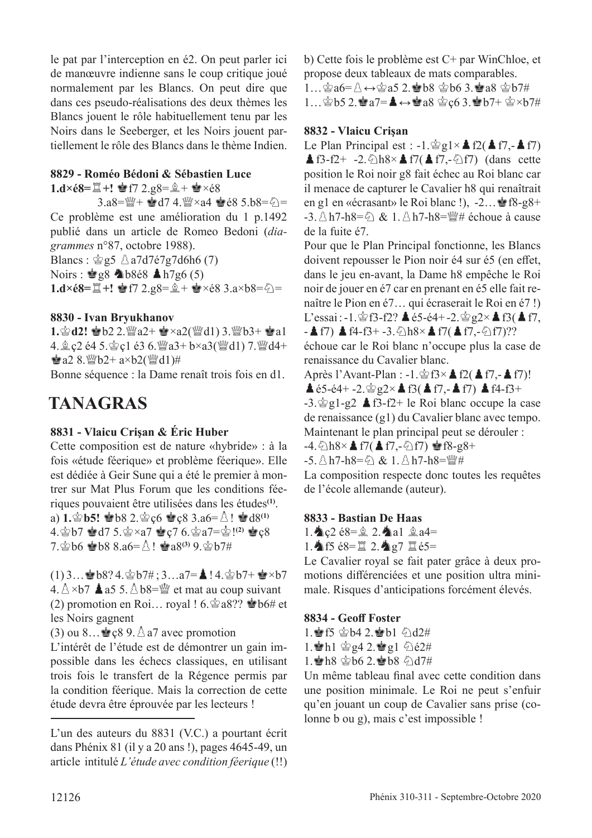le pat par l'interception en é2. On peut parler ici de manœuvre indienne sans le coup critique joué normalement par les Blancs. On peut dire que dans ces pseudo-réalisations des deux thèmes les Blancs jouent le rôle habituellement tenu par les Noirs dans le Seeberger, et les Noirs jouent partiellement le rôle des Blancs dans le thème Indien.

#### **8829 - Roméo Bédoni & Sébastien Luce**

**1.d×é8=** $\Xi$ **+! ⊗f7 2.g8=** $\hat{\mathbb{Q}}$ **+ ⊗×é8** 

 $3. a8 = \frac{100}{4} + \frac{100}{4}$  d7 4. $\frac{100}{4} \times a4 = 68$  5.b8= $\zeta$ = Ce problème est une amélioration du 1 p.1492 publié dans un article de Romeo Bedoni (*diagrammes* n°87, octobre 1988).

Blancs :  $\hat{\otimes}$  g5  $\triangle$  a7d7é7g7d6h6 (7) Noirs :  $\triangleq g8$   $\triangleq b868$   $\triangleq h7g6(5)$ **1.d×é8=** $\exists$ **+!**  $\bullet$ **f7 2.g8=** $\hat{\mathbb{Q}}$ **+**  $\bullet$ **×é8 3.a×b8=** $\Diamond$ **=** 

#### **8830 - Ivan Bryukhanov**

1.含d2! 會b2 2.營a2+ 會×a2(營d1) 3.營b3+ 會al 4.  $\hat{p}$  c2 é4 5. $\hat{q}$  c1 é3 6. $\hat{q}$ a3+ b×a3( $\hat{q}$ d1) 7. $\hat{q}$ d4+  $\bullet$  a2 8.  $\mathcal{L}$  b2+ a×b2( $\mathcal{L}$ d1)#

Bonne séquence : la Dame renaît trois fois en d1.

## **TANAGRAS**

#### **8831 - Vlaicu Crişan & Éric Huber**

Cette composition est de nature «hybride» : à la fois «étude féerique» et problème féerique». Elle est dédiée à Geir Sune qui a été le premier à montrer sur Mat Plus Forum que les conditions féeriques pouvaient être utilisées dans les études**(1)**. a)  $1.\Phi$ **b5!**  $\Phi$ b8 2. $\Phi$ c6  $\Phi$ c8 3.a6= $\Delta$ !  $\Phi$ d8<sup>(1)</sup>  $4.\sp{2}b7 \sp{2}d7 5.\sp{2}xa7 \sp{2}c7 6.\sp{2}a7 = \sp{2}!^{(2)} \sp{2}c8$  $7.$  $\&$  b6  $\&$  b8 8.a6= $\&$ !  $\&$  a8<sup>(3)</sup> 9. $\&$  b7#

 $(1)$  3… $\bullet$  b8? 4. $\circ$  b7# ; 3…a7= $\bullet$ ! 4. $\circ$  b7+  $\bullet$  × b7  $4.\Delta \times b7$  **A** a5 5.  $\Delta b8 = \frac{mb}{2}$  et mat au coup suivant (2) promotion en Roi... royal !  $6.\hat{\otimes}$  a8??  $\hat{\otimes}$  b6# et

les Noirs gagnent

(3) ou 8...  $\leq$  c8 9.  $\triangle$  a7 avec promotion

L'intérêt de l'étude est de démontrer un gain impossible dans les échecs classiques, en utilisant trois fois le transfert de la Régence permis par la condition féerique. Mais la correction de cette étude devra être éprouvée par les lecteurs !

b) Cette fois le problème est C+ par WinChloe, et propose deux tableaux de mats comparables.

1… $\circ$ a6= $\circ$  ↔ $\circ$ a5 2. b8  $\circ$ b6 3.ea8  $\circ$ b7# 1… $\circledast$ b5 2. $\circledast$ a7= $\blacktriangle \leftrightarrow \circledast$ a8  $\circledast$ ç6 3. $\circledast$ b7+  $\circledast \times$ b7#

#### **8832 - Vlaicu Crişan**

Le Plan Principal est : -1. $\hat{\otimes}$ g1×**A**f2(**A**f7,-**A**f7) **A** f3-f2+ -2. $\Diamond$ h8×**A** f7(**A** f7,- $\Diamond$ f7) (dans cette position le Roi noir g8 fait échec au Roi blanc car il menace de capturer le Cavalier h8 qui renaîtrait en g1 en «écrasant» le Roi blanc !),  $-2...$   $\bullet$  f8-g8+  $-3.8h7-h8=6$  & 1.  $8h7-h8=\frac{m}{4}$  échoue à cause de la fuite é7.

Pour que le Plan Principal fonctionne, les Blancs doivent repousser le Pion noir é4 sur é5 (en effet, dans le jeu en-avant, la Dame h8 empêche le Roi noir de jouer en é7 car en prenant en é5 elle fait renaître le Pion en é7… qui écraserait le Roi en é7 !) L'essai : -1. $\circledast$ f3-f2?  $\triangleq$  é5-é4+ -2. $\circledast$  g2× $\triangleq$  f3( $\triangleq$  f7,  $-$  f7) A f4-f3+ -3. $\&$ h8×A f7(A f7,- $\&$ f7)??

échoue car le Roi blanc n'occupe plus la case de renaissance du Cavalier blanc.

Après l'Avant-Plan :  $-1.\hat{\otimes}53\times\hat{A}t2(\hat{A}57,-\hat{A}57)!$  $\triangle$  é5-é4+ -2. $\triangle$ g2× $\triangle$  f3( $\triangle$  f7,- $\triangle$  f7)  $\triangle$  f4-f3+  $-3.\n\circ g1-g2 \triangleq f3-f2+$  le Roi blanc occupe la case

de renaissance (g1) du Cavalier blanc avec tempo. Maintenant le plan principal peut se dérouler :

 $-4.\overline{\bigcirc}$ h8× $\triangle$ f7( $\triangle$ f7,- $\overline{\bigcirc}$ f7)  $\cong$ f8-g8+

-5. A h7-h8=勾 & 1. A h7-h8=瞥#

La composition respecte donc toutes les requêtes de l'école allemande (auteur).

#### **8833 - Bastian De Haas**

1.  $\angle$  c2 é8= $\angle$  2.  $\angle$ a1  $\angle$  a4=

1. The f5 é8= $\Xi$  2.  $\triangleq$  g7  $\Xi$  é5=

Le Cavalier royal se fait pater grâce à deux promotions diférenciées et une position ultra minimale. Risques d'anticipations forcément élevés.

#### **8834 - Geof Foster**

1. f5 \$b4 2. b1 5d2# 1. Al  $\otimes$  g4 2.  $\otimes$  g1  $\otimes$  e2#  $1.$ h8  $\Delta$ b6 2. h8  $\Diamond$ d7#

Un même tableau fnal avec cette condition dans une position minimale. Le Roi ne peut s'enfuir qu'en jouant un coup de Cavalier sans prise (colonne b ou g), mais c'est impossible !

L'un des auteurs du 8831 (V.C.) a pourtant écrit dans Phénix 81 (il y a 20 ans !), pages 4645-49, un article intitulé *L'étude avec condition féerique* (!!)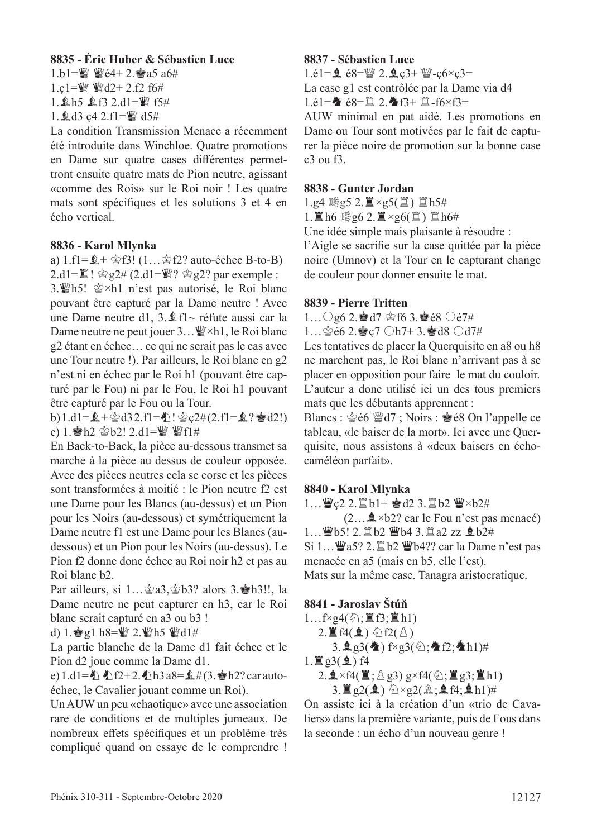#### **8835 - Éric Huber & Sébastien Luce**

 $1.b1 = W$  We4+ 2. as a  $6#$ 

1.c1= $\frac{100}{2}$   $\frac{100}{2}$  d2+ 2.f2 f6#

1.Äh5 Äf3 2.d1= f5#

1.  $\&$  d3 c4 2.f1= $\frac{W}{W}$  d5#

La condition Transmission Menace a récemment été introduite dans Winchloe. Quatre promotions en Dame sur quatre cases diférentes permettront ensuite quatre mats de Pion neutre, agissant «comme des Rois» sur le Roi noir ! Les quatre mats sont spécifques et les solutions 3 et 4 en écho vertical.

#### **8836 - Karol Mlynka**

a)  $1.f1=\pm + \frac{1}{2}f3!$  ( $1...\pm 2?$  auto-échec B-to-B) 2.d1= $\mathbb{Z}$ ! 含g2# (2.d1= $\mathbb{Y}$ ? 含g2? par exemple : 3. h5!  $\circledast$  ×h1 n'est pas autorisé, le Roi blanc pouvant être capturé par la Dame neutre ! Avec une Dame neutre d1, 3. fl – réfute aussi car la Dame neutre ne peut jouer 3... say ×h1, le Roi blanc g2 étant en échec… ce qui ne serait pas le cas avec une Tour neutre !). Par ailleurs, le Roi blanc en g2 n'est ni en échec par le Roi h1 (pouvant être capturé par le Fou) ni par le Fou, le Roi h1 pouvant être capturé par le Fou ou la Tour.

b)  $1.d1 = \n\& + \n\& d3 \n2.f1 = \n\& + \n\& \n2.f2 + \n\& 2.f1 = \n\& 2 \n\& d2!)$ c) 1. h2  $\&b2$ ! 2.d1= $\&$   $\&ff1#$ 

En Back-to-Back, la pièce au-dessous transmet sa marche à la pièce au dessus de couleur opposée. Avec des pièces neutres cela se corse et les pièces sont transformées à moitié : le Pion neutre f2 est une Dame pour les Blancs (au-dessus) et un Pion pour les Noirs (au-dessous) et symétriquement la Dame neutre f1 est une Dame pour les Blancs (audessous) et un Pion pour les Noirs (au-dessus). Le Pion f2 donne donc échec au Roi noir h2 et pas au Roi blanc b2.

Par ailleurs, si 1… $\hat{\otimes}$ a3, $\hat{\otimes}$ b3? alors 3. $\hat{\otimes}$ h3!!, la Dame neutre ne peut capturer en h3, car le Roi blanc serait capturé en a3 ou b3 !

d) 1.  $g1 h8 = \frac{m}{2} 2.$  Wh5 Wd1#

La partie blanche de la Dame d1 fait échec et le Pion d2 joue comme la Dame d1.

e)  $1. d1 = \bigoplus_{n=1}^{\infty} \bigoplus_{n=1}^{\infty} 2 + 2.$  hence  $3. e^{\frac{1}{2}} + (3. e^{\frac{1}{2}} + 2.2$  car autoéchec, le Cavalier jouant comme un Roi).

Un AUW un peu «chaotique» avec une association rare de conditions et de multiples jumeaux. De nombreux effets spécifiques et un problème très compliqué quand on essaye de le comprendre !

#### **8837 - Sébastien Luce**

1.é1= $\hat{Q}$  é8= $\hat{Q}$  2. $\hat{Q}$  c3+  $\hat{Q}$ -c6×c3= La case g1 est contrôlée par la Dame via d4  $1.\dot{e}1 = \spadesuit \dot{e}8 = \bar{1}2.$   $\spadesuit$  f3+  $\bar{1}$ -f6×f3=

AUW minimal en pat aidé. Les promotions en Dame ou Tour sont motivées par le fait de capturer la pièce noire de promotion sur la bonne case c3 ou f3.

#### **8838 - Gunter Jordan**

 $1.g4 \leqslant g5 2.\nexists \times g5(\nexists) \nexists h5\#$ 

1.  $\mathbb{I}$  h6 嗓g6 2.  $\mathbb{I} \times$ g6( $\mathbb{I}$ )  $\mathbb{I}$  h6#

Une idée simple mais plaisante à résoudre :

l'Aigle se sacrife sur la case quittée par la pièce noire (Umnov) et la Tour en le capturant change de couleur pour donner ensuite le mat.

#### **8839 - Pierre Tritten**

1… $\bigcirc$ g6 2. $\bullet$ d7  $\circledcirc$ f6 3. $\bullet$ é8  $\bigcirc$ é7#

1… $\circ$ 66 2. $\circ$ ç7  $Oh 7+ 3.\circledast$ d8  $Od7#$ 

Les tentatives de placer la Querquisite en a8 ou h8 ne marchent pas, le Roi blanc n'arrivant pas à se placer en opposition pour faire le mat du couloir. L'auteur a donc utilisé ici un des tous premiers mats que les débutants apprennent :

Blancs :  $\triangleq$ é6  $\triangleq$ d7 ; Noirs :  $\triangleq$ é8 On l'appelle ce tableau, «le baiser de la mort». Ici avec une Querquisite, nous assistons à «deux baisers en échocaméléon parfait».

#### **8840 - Karol Mlynka**

 $1...$   $\mathbf{W}$ ç2 2. $\mathbf{I}$ b1+  $\mathbf{W}$ d2 3. $\mathbf{I}$ b2  $\mathbf{W} \times 2$ #

 $(2...\triangle 2 \times b2)$  car le Fou n'est pas menacé) 1... 曹b5! 2. 置b2 曹b4 3. 置a2 zz 皇b2#

Si  $1...\mathbf{w}$ a5? 2. $\mathbf{\ddot{a}}$ b2  $\mathbf{\ddot{w}}$ b4?? car la Dame n'est pas menacée en a5 (mais en b5, elle l'est).

Mats sur la même case. Tanagra aristocratique.

#### **8841 - Jaroslav Štúň**

 $1...f\times g4(\textcircled{2};\blacksquare\text{f3};\blacksquare\text{h1})$  $2.$   $\mathbb{E}$  f4( $\mathbf{\underline{9}}$ )  $\Diamond$  f2( $\Diamond$ ) 3. $\mathbf{\underline{a}}$ g3( $\mathbf{\triangle})$  f×g3( $\Diamond$ ; $\mathbf{\triangle}$ f2; $\mathbf{\triangle}$ h1)#  $1.$   $\Xi$  g3( $\pm$ ) f4

2. 
$$
\mathbf{2} \times f4(\mathbf{Z}; \triangle g3) g \times f4(\mathbf{Z}; \mathbf{Z} g3; \mathbf{Z} h1)
$$

3.  $g2(\hat{\mathbf{g}}) \oplus \times g2(\hat{\mathbf{g}};\hat{\mathbf{g}})$  f4;  $\hat{\mathbf{g}}$  h1)#

On assiste ici à la création d'un «trio de Cavaliers» dans la première variante, puis de Fous dans la seconde : un écho d'un nouveau genre !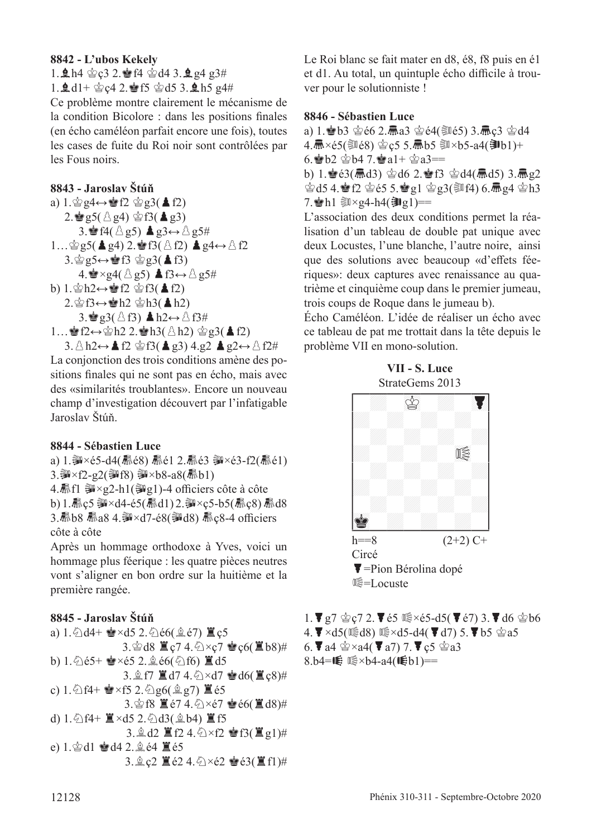#### **8842 - L'ubos Kekely**

1.  $\ln 4 \, \text{kg}$  c3 2.  $\ln 4 \, \text{kg}$  d4 3.  $\ln 2 \, \text{g}$  g3#

1.  $\pm$  d1+  $\&$  c4 2.  $\bullet$  f5  $\&$  d5 3.  $\pm$  h5 g4#

Ce problème montre clairement le mécanisme de la condition Bicolore : dans les positions fnales (en écho caméléon parfait encore une fois), toutes les cases de fuite du Roi noir sont contrôlées par les Fous noirs.

#### **8843 - Jaroslav Štúň**

a)  $1.\n\circledcirc q4 \leftrightarrow \circledast f2 \circledcirc q3(4f2)$  $2.\stackrel{\triangle}{=}$  g5( $\stackrel{\triangle}{\triangle}$  g4)  $\stackrel{\triangle}{=}$  f3( $\stackrel{\triangle}{=}$  g3) 3. $\bullet$  f4( $\land$  g5) **A**g3↔ $\land$  g5#  $1...$ g5(▲g4) 2.@f3( $\triangle$ f2) ▲g4↔ $\triangle$ f2  $3.\n$ g $5 \leftrightarrow \n\cong f3 \n\cong g3(\triangle f3)$  $4.$  $\bullet \times$ g4( $\land$ g5) **A**f3↔ $\land$ g5# b)  $1.\n\cong h2 \leftrightarrow g2 \cong f3(\triangleq f2)$  $2.\n$  $\circ$  f3 ↔  $\circ$  h2  $\circ$  h3( **A**h2)  $3.\bullet$  g3(  $\triangle$  f3) **A** h2←  $\triangle$  f3# 1…•sf2↔ $\Phi$ h2 2.•sh3( $\triangle$ h2)  $\Phi$ g3( $\triangle$ f2)  $3.\triangle h2 \leftrightarrow \triangle 12 \trianglelefteq f3(\trianglelefteq g3) 4.g2 \trianglelefteq g2 \leftrightarrow \triangle f2\#$ 

La conjonction des trois conditions amène des positions fnales qui ne sont pas en écho, mais avec des «similarités troublantes». Encore un nouveau champ d'investigation découvert par l'infatigable Jaroslav Štúň.

#### **8844 - Sébastien Luce**

a) 1. 部×é5-d4(扉é8) 扉é1 2. 扉é3 部×é3-f2(扉é1)  $3.\overline{\mathfrak{M}} \times f2-g2(\overline{\mathfrak{M}}f8) \overline{\mathfrak{M}} \times b8-a8(\overline{m}b1)$ 4.  $f{R}$  =  $\frac{2}{3}$  ×  $g{2-h1}$  ( $g{q1}$ )-4 officiers côte à côte b) 1.  $\bar{R}$  c5 ③ ×d4-é5( $\bar{R}$ d1) 2. ③ ×c5-b5( $\bar{R}$ c8)  $\bar{R}$ d8 3. Kb8 Ka8 4. W×d7-é8( Md8) Kc8-4 officiers côte à côte

Après un hommage orthodoxe à Yves, voici un hommage plus féerique : les quatre pièces neutres vont s'aligner en bon ordre sur la huitième et la première rangée.

#### **8845 - Jaroslav Štúň**



Le Roi blanc se fait mater en d8, é8, f8 puis en é1 et d1. Au total, un quintuple écho difficile à trouver pour le solutionniste !

#### **8846 - Sébastien Luce**

a) 1. b3 空é6 2.扁a3 空é4( 题é5) 3.扁ç3 空d4 4. **氚**×é5(③é8) 宫ç5 5. 氚b5 ③×b5-a4(③b1)+ 6. b2  $\&b4$  7.  $\&b4$  a1+  $\&b4$  a3== b) 1. $\frac{1}{2}$   $63$ ( $\frac{1}{2}$ d3)  $\frac{1}{2}$ d6 2. $\frac{1}{2}$ f3  $\frac{1}{2}$ d4( $\frac{1}{2}$ d5) 3. $\frac{1}{2}$ e2  $\dot{\text{Q}}$ d5 4.會f2  $\dot{\text{Q}}$ e5 5.會g1  $\dot{\text{Q}}$ g3(訓f4) 6.氚g4  $\dot{\text{Q}}$ h3 7. Al  $\Im \times g$ 4-h4( $\Im g$ 1)==

L'association des deux conditions permet la réalisation d'un tableau de double pat unique avec deux Locustes, l'une blanche, l'autre noire, ainsi que des solutions avec beaucoup «d'effets féeriques»: deux captures avec renaissance au quatrième et cinquième coup dans le premier jumeau, trois coups de Roque dans le jumeau b).

Écho Caméléon. L'idée de réaliser un écho avec ce tableau de pat me trottait dans la tête depuis le problème VII en mono-solution.





1.  $\triangledown$   $g$ 7  $\circ$   $g$  2.  $\triangledown$  é5  $\circ$   $\times$  é5-d5( $\triangledown$  é7) 3.  $\triangledown$  d6  $\circ$  b6  $4.\nabla \times d5(\mathbb{Q}d8) \mathbb{Q} \times d5-d4(\nabla d7) 5.\nabla b5 \hat{\otimes} a5$ 6.  $\blacktriangledown$  a4  $\hat{\blacktriangledown}$  ×a4( $\blacktriangledown$  a7) 7.  $\blacktriangledown$  c5  $\hat{\blacktriangledown}$  a3 8.b4=W 1 × b4-a4(16b1)==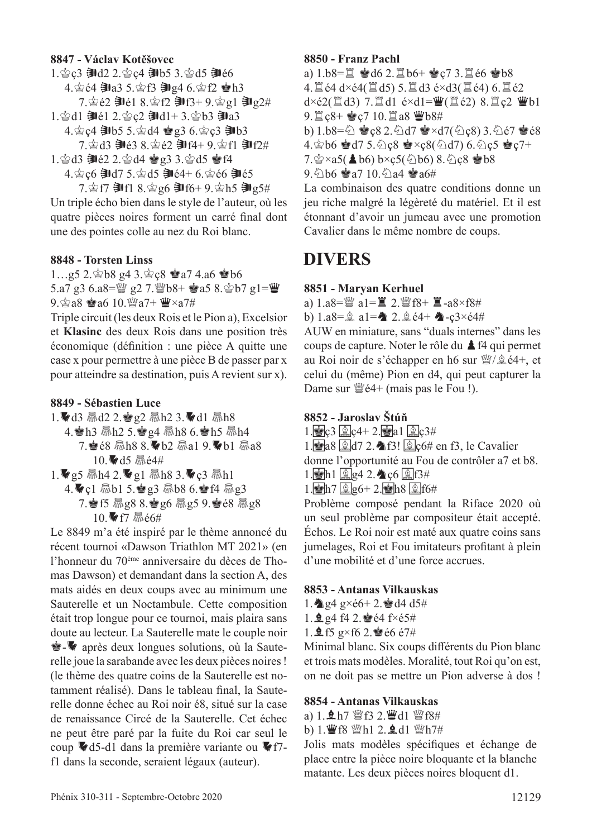#### **8847 - Václav Kotěšovec**

1. gc3 訓d2 2. gc4 訓b5 3. gd5 訓é6 4. 宫é4 訓a3 5. 宫f3 訓g4 6. 宫f2 會h3 7. 宫é2 割é1 8. 宫f2 割f3+ 9. 宫g1 割g2# 1. 宫d1 郭é1 2. 宫ç2 郭d1+ 3. 宫b3 郭a3 4. gc4 訓b5 5. gd4 曾g3 6. gc3 訓b3 7. gd3 割é3 8. gé2 割f4+ 9. gf1 割f2# 1. 宫d3 訓é2 2. 宫d4 曾g3 3. 宫d5 曾f4

4. gc6 訓d7 5. gd5 訓é4+ 6. gé6 訓é5 7. 宫f7 郭f1 8. 宫g6 郭f6+ 9. 宫h5 郭g5#

Un triple écho bien dans le style de l'auteur, où les quatre pièces noires forment un carré fnal dont une des pointes colle au nez du Roi blanc.

#### **8848 - Torsten Linss**

1...g5 2. \$b8 g4 3. \$c8 \$a7 4.a6 \$b6 5.a7 g3 6.a8= $\frac{30}{2}$  g2 7. $\frac{20}{2}$ b8+  $\frac{1}{2}$ a5 8. $\frac{1}{2}$ b7 g1= $\frac{10}{2}$  $9.$  $\circ$ a8  $\bullet$ a6 10. $\mathbb{W}$ a7+ $\mathbb{W} \times a7$ #

Triple circuit (les deux Rois et le Pion a), Excelsior et **Klasinc** des deux Rois dans une position très économique (défnition : une pièce A quitte une case x pour permettre à une pièce B de passer par x pour atteindre sa destination, puis A revient sur x).

#### **8849 - Sébastien Luce**

- 1. d3  $\frac{1}{3}$ d2 2.  $\frac{1}{3}$  g2  $\frac{1}{3}$ h2 3.  $\frac{1}{3}$ d1  $\frac{1}{3}$ h8 4. Ah3  $\overline{m}$ h2 5.  $\overline{eq}$ 4  $\overline{m}$ h8 6. Ah5  $\overline{m}$ h4 7.  $e8 \overline{m}$ h $8 8.$  b2  $\overline{m}$ a1 9. b1  $\overline{m}$ a8 10. d5 Mé4#
- 1.  $\blacktriangleright$  g5  $\overline{m}$  h4 2.  $\blacktriangleright$  g1  $\overline{m}$  h8 3.  $\blacktriangleright$  c3  $\overline{m}$  h1 4.vc1 Rb1 5. g3 Rb8 6. f4 Rg3 7. f5  $\frac{1}{3}$ g8 8. g6  $\frac{1}{3}$ g5 9. g é8  $\frac{1}{3}$ g8 10. f7 Mé6#

Le 8849 m'a été inspiré par le thème annoncé du récent tournoi «Dawson Triathlon MT 2021» (en l'honneur du 70ème anniversaire du dèces de Thomas Dawson) et demandant dans la section A, des mats aidés en deux coups avec au minimum une Sauterelle et un Noctambule. Cette composition était trop longue pour ce tournoi, mais plaira sans doute au lecteur. La Sauterelle mate le couple noir  $\dot{Q}$  après deux longues solutions, où la Sauterelle joue la sarabande avec les deux pièces noires ! (le thème des quatre coins de la Sauterelle est notamment réalisé). Dans le tableau fnal, la Sauterelle donne échec au Roi noir é8, situé sur la case de renaissance Circé de la Sauterelle. Cet échec ne peut être paré par la fuite du Roi car seul le coup  $\blacktriangledown$  d5-d1 dans la première variante ou  $\blacktriangledown$ f7f1 dans la seconde, seraient légaux (auteur).

#### **8850 - Franz Pachl**

a)  $1.b8 = \mathbb{Z}$   $\bullet$   $d6$  2.  $\mathbb{Z}$   $b6 + \bullet c7$  3.  $\mathbb{Z}$   $\bullet$   $6 \bullet b8$ 4.  $\mathbb{Z}$  é4 d×é4( $\mathbb{Z}$  d5) 5.  $\mathbb{Z}$  d3 é×d3( $\mathbb{Z}$  é4) 6.  $\mathbb{Z}$  é2  $d \times \epsilon 2(\exists d3)$  7. $\exists d1 \epsilon \times d1 = \mathbf{W}(\exists \epsilon 2)$  8. $\mathbf{\exists c2 \ \Psi b1}$  $9.1c8 + 2c7 10.1a8 2b8$ b)  $1.b8 = \bigcirc$   $\bullet$   $c8 2.\bigcirc$  d7  $\bullet \times$  d7( $\bigcirc$  c8) 3. $\bigcirc$  e7  $\bullet$  e8  $4.\n\circledast$  b6  $\circledast$  d7 5.  $\circledcirc$  c8  $\circledast \times$ c $8(\circledast$  d7) 6.  $\circledcirc$  c5  $\circledast$  c7+  $7.\n$ g ×a5( $\triangle$ b6) b×ç5( $\triangle$ b6) 8. $\triangle$ ç8  $\triangle$ b8

 $9.6$  b6  $\bullet$  a7 10. $\odot$  a4  $\bullet$  a6#

La combinaison des quatre conditions donne un jeu riche malgré la légèreté du matériel. Et il est étonnant d'avoir un jumeau avec une promotion Cavalier dans le même nombre de coups.

## **DIVERS**

#### **8851 - Maryan Kerhuel**

a)  $1. a8 = \frac{300}{4} a1 = \frac{100}{4} 2. \frac{300}{4} 18 + \frac{100}{4} a8 \times 18 +$ 

b)  $1. a8 = \hat{a}$   $a1 = \hat{a}$   $2. \hat{a}$   $\hat{e}4 + \hat{a}$   $-c3 \times \hat{e}4 \hat{a}$ 

AUW en miniature, sans "duals internes" dans les coups de capture. Noter le rôle du  $\triangle$  f4 qui permet au Roi noir de s'échapper en h6 sur  $\frac{36}{2}$ é4+, et celui du (même) Pion en d4, qui peut capturer la Dame sur  $\mathbb{W}e4+$  (mais pas le Fou !).

#### **8852 - Jaroslav Štúň**

- $1.\bullet c3 \circ c4 + 2.\bullet a1 \circ c3 +$
- 1. a8 <u>2</u> d7 2. **16** f3! **2** c6# en f3, le Cavalier

donne l'opportunité au Fou de contrôler a7 et b8.

- $1.\bullet$ h $1.\bullet$ g4 2. $\bullet$ c6  $\circ$   $5$ f3#
- $1.\blacksquare$ h7  $\blacksquare$ g6+ 2. $\square$ h8  $\blacksquare$ f6#

Problème composé pendant la Riface 2020 où un seul problème par compositeur était accepté. Échos. Le Roi noir est maté aux quatre coins sans jumelages, Roi et Fou imitateurs proftant à plein d'une mobilité et d'une force accrues.

#### **8853 - Antanas Vilkauskas**

- 1.  $\triangleleft$  g<sub>4</sub> g×é6+ 2. $\triangleleft$  d4 d5#
- 1.  $\frac{6}{9}$  g4 f4 2.  $\frac{6}{9}$  é4 f×é5#
- 1.  $\frac{6}{5}$  f5 g×f6 2. $\frac{6}{5}$ é6 é7#

Minimal blanc. Six coups diférents du Pion blanc et trois mats modèles. Moralité, tout Roi qu'on est, on ne doit pas se mettre un Pion adverse à dos !

#### **8854 - Antanas Vilkauskas**

a)  $1.$   $\&$  h7  $\&$  f3 2. $\&$  d1  $\&$  f8#

b) 1. F68 Wh1 2. gd1 Wh7#

Jolis mats modèles spécifques et échange de place entre la pièce noire bloquante et la blanche matante. Les deux pièces noires bloquent d1.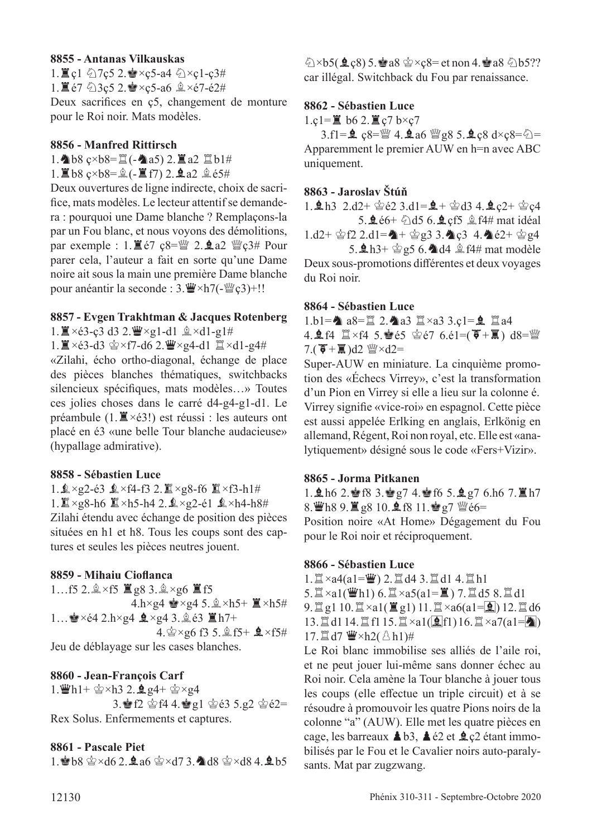#### **8855 - Antanas Vilkauskas**

1.  $\mathbb{Z}$  c1  $\Diamond$  7c5 2.  $\mathbb{Z} \times c$ 5-a4  $\Diamond$   $\times$ c1-c3# 1.  $\mathbb{E}$ é7  $\&$ 3ç5 2. $\mathbb{S} \times$ c5-a6  $\& \times$ é7-é2# Deux sacrifces en ç5, changement de monture pour le Roi noir. Mats modèles.

#### **8856 - Manfred Rittirsch**

 $1.\triangleleft b8$  ç×b8= $\angle( - \triangleleft a5)$  2. $\angle( a2) \angle( 1 \triangleleft a7)$ 

 $1.\Xi$ b8 ç×b8= $\hat{A}$ (- $\Xi$ f7) 2. $\Delta$ a2  $\hat{A}$ é5#

Deux ouvertures de ligne indirecte, choix de sacrifce, mats modèles. Le lecteur attentif se demandera : pourquoi une Dame blanche ? Remplaçons-la par un Fou blanc, et nous voyons des démolitions, par exemple :  $1.\Xi$ é7 ç8= $\mathbb{W}$  2.  $\mathbf{\Omega}$ a2  $\mathbb{W}$ ç3# Pour parer cela, l'auteur a fait en sorte qu'une Dame noire ait sous la main une première Dame blanche pour anéantir la seconde : 3. W × h7(-W  $c3$ )+!!

#### **8857 - Evgen Trakhtman & Jacques Rotenberg**

 $1.\Xi \times 63$ -ç3 d3 2. $\ddot{\mathbf{w}} \times$ g1-d1  $\hat{\mathbf{z}} \times d1$ -g1#

 $1.\n\mathbb{I} \times 63$ -d3  $\circledcirc \times 57$ -d6 2.  $\mathbb{I} \times 94$ -d1  $\mathbb{I} \times 11$ -g4#

«Zilahi, écho ortho-diagonal, échange de place des pièces blanches thématiques, switchbacks silencieux spécifques, mats modèles…» Toutes ces jolies choses dans le carré d4-g4-g1-d1. Le préambule  $(1, \mathbb{Z} \times 63!)$  est réussi : les auteurs ont placé en é3 «une belle Tour blanche audacieuse» (hypallage admirative).

#### **8858 - Sébastien Luce**

1. $\mathbf{1} \times \mathbf{9}$ 2-é3  $\mathbf{1} \times \mathbf{5}$ 4-f3 2. $\mathbf{1} \times \mathbf{9}$ 8-f6  $\mathbf{1} \times \mathbf{5}$ -h1# 1.  $\mathbb{Z} \times$ g8-h6  $\mathbb{Z} \times$ h5-h4 2.  $\mathbb{Q} \times$ g2-é1  $\mathbb{Q} \times$ h4-h8# Zilahi étendu avec échange de position des pièces situées en h1 et h8. Tous les coups sont des captures et seules les pièces neutres jouent.

#### **8859 - Mihaiu Ciofanca**

1…f5 2. $\×$ f5  $\mathbb{Z}$ g8 3. $\×$ g6  $\mathbb{Z}$ f5  $4.h \times g4 \cong \times g4$  5.  $\& \times h5+ \mathbb{Z} \times h5 \#$ 1...  $\bullet$  ×é4 2.h×g4  $\bullet$  ×g4 3. **â** é3  $\Xi$  h7+ 4. $\frac{6}{5} \times g6$  f3 5. $\frac{6}{5}$  f5+  $\frac{6}{5} \times f5$ # Jeu de déblayage sur les cases blanches.

#### **8860 - Jean-François Carf**

1.  $\mathbf{\ddot{w}}$ h1+  $\mathbf{\ddot{\otimes}} \times$ h3 2.  $\mathbf{\dot{Q}}$  g4+  $\mathbf{\ddot{\otimes}} \times$ g4 3. F2 \$f4 4. g1 \$ 63 5.g2 \$ 62= Rex Solus. Enfermements et captures.

#### **8861 - Pascale Piet**

1. b8  $\circledast \times d6$  2. a6  $\circledast \times d7$  3. d8  $\circledast \times d8$  4. ab5

 $\&$  ×b5( $\&$ ç8) 5. $\&$ a8  $\&$ ×ç8= et non 4. $\&$ a8  $\&$ b5?? car illégal. Switchback du Fou par renaissance.

#### **8862 - Sébastien Luce**

1.ç1= $\angle$  b6 2. $\angle$ g c7 b×c7

3.f1= $\hat{Q}$  ç8= $\hat{Q}$ 4. $\hat{Q}$ a6  $\hat{Q}$ g8 5. $\hat{Q}$ c8 d×ç8= $\hat{Q}$ = Apparemment le premier AUW en h=n avec ABC uniquement.

#### **8863 - Jaroslav Štúň**

1.  $\ln 3$  2.d2+  $\dot{\text{e}}$ 2 3.d1= $\dot{\text{e}}$ +  $\dot{\text{e}}$ d3 4. $\dot{\text{e}}$  c2+  $\dot{\text{e}}$ c4 5. $\text{\textsterling}66+ \text{\textsterling}d56$ . $\text{\textsterling}c5 \text{\textsterling}f4\text{\textsterling}m$ at idéal  $1. d2 + \hat{\otimes} f2$   $2. d1 = \hat{\triangle} + \hat{\otimes} g3$   $3. \hat{\triangle} c3$  4.  $\hat{\triangle} c2 + \hat{\otimes} g4$ 

5.  $\ln 3$ +  $\frac{1}{2}$ g5 6.  $\ln 4$   $\frac{1}{2}$  f4# mat modèle Deux sous-promotions diférentes et deux voyages du Roi noir.

#### **8864 - Sébastien Luce**

1.b1= $\triangleq$  a8= $\angle$  2. $\triangleq$ a3  $\angle$  ×a3 3.ç1= $\angle$   $\angle$   $\angle$  a4 4.  $\mathbf{\hat{L}}$  f4  $\mathbb{Z} \times$ f4 5.  $\mathbf{\hat{E}}$  é5  $\mathbf{\hat{E}}$  é7 6.é1=( $\mathbf{\overline{F}} + \mathbf{\overline{I}}$ ) d8= $\mathbf{\hat{E}}$ 7.( $\mathbf{\bar{G}} + \mathbf{\bar{g}}$ )d2  $\mathbf{W} \times d2 =$ 

Super-AUW en miniature. La cinquième promotion des «Échecs Virrey», c'est la transformation d'un Pion en Virrey si elle a lieu sur la colonne é. Virrey signife «vice-roi» en espagnol. Cette pièce est aussi appelée Erlking en anglais, Erlkönig en allemand, Régent, Roi non royal, etc. Elle est «analytiquement» désigné sous le code «Fers+Vizir».

#### **8865 - Jorma Pitkanen**

1.  $\ln 6$  2. For 3. For 4. For 5.  $\ln 7$  6.h6 7.  $\ln 7$  $8.\overline{\mathbf{W}}$ h $89.\overline{\mathbf{X}}$  g $810.\overline{\mathbf{M}}$ f $811.\overline{\mathbf{W}}$  g $7\overline{\mathbf{W}}$ é $6=$ Position noire «At Home» Dégagement du Fou pour le Roi noir et réciproquement.

#### **8866 - Sébastien Luce**

 $1.\n\mathbb{Z} \times a4(a1=\n\mathbb{Z})$  2.  $\mathbb{Z}$  d4 3.  $\mathbb{Z}$  d1 4.  $\mathbb{Z}$  h1  $5.\n\mathbb{Z}\times a1(\mathbb{W}h1)$  6.  $\mathbb{Z}\times a5(a1=\mathbb{Z})$  7.  $\mathbb{Z}$  d5 8.  $\mathbb{Z}$  d1  $9.$ tgl 10.  $\mathbb{Z} \times a$ 1( $\mathbb{Z}$  g1) 11.  $\mathbb{Z} \times a$ 6(a1= $\mathbb{Q}$ ) 12.  $\mathbb{Z}$  d6 13. $\exists d1 14. \exists f1 15. \exists x a1(\exists f1) 16. \exists x a7(a1=\blacktriangle)$ 17. $\mathbb{Z}$ d7  $\mathbb{Z} \times h2(\mathbb{A}h1)$ #

Le Roi blanc immobilise ses alliés de l'aile roi, et ne peut jouer lui-même sans donner échec au Roi noir. Cela amène la Tour blanche à jouer tous les coups (elle efectue un triple circuit) et à se résoudre à promouvoir les quatre Pions noirs de la colonne "a" (AUW). Elle met les quatre pièces en cage, les barreaux  $\triangle$  b3,  $\triangle$  é2 et  $\triangle$  c2 étant immobilisés par le Fou et le Cavalier noirs auto-paralysants. Mat par zugzwang.